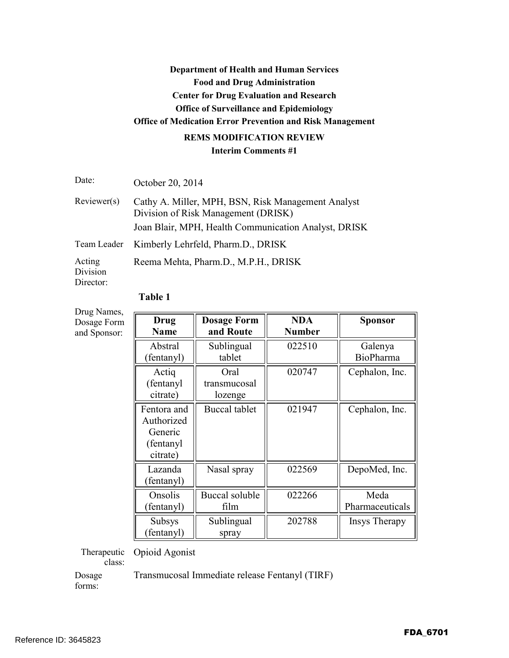## **Department of Health and Human Services Food and Drug Administration Center for Drug Evaluation and Research Office of Surveillance and Epidemiology Office of Medication Error Prevention and Risk Management REMS MODIFICATION REVIEW**

# **Interim Comments #1**

Date: October 20, 2014

| Reviewer(s) | Cathy A. Miller, MPH, BSN, Risk Management Analyst<br>Division of Risk Management (DRISK) |
|-------------|-------------------------------------------------------------------------------------------|
|             | Joan Blair, MPH, Health Communication Analyst, DRISK                                      |
|             | Team Leader Kimberly Lehrfeld, Pharm.D., DRISK                                            |

Acting Reema Mehta, Pharm.D., M.P.H., DRISK

Division Director:

| Drug Names,                 |                                                                |                                 |                             |                         |
|-----------------------------|----------------------------------------------------------------|---------------------------------|-----------------------------|-------------------------|
| Dosage Form<br>and Sponsor: | Drug<br><b>Name</b>                                            | <b>Dosage Form</b><br>and Route | <b>NDA</b><br><b>Number</b> | <b>Sponsor</b>          |
|                             | Abstral<br>(fentanyl)                                          | Sublingual<br>tablet            | 022510                      | Galenya<br>BioPharma    |
|                             | Actiq<br>(fentanyl)<br>citrate)                                | Oral<br>transmucosal<br>lozenge | 020747                      | Cephalon, Inc.          |
|                             | Fentora and<br>Authorized<br>Generic<br>(fentanyl)<br>citrate) | <b>Buccal</b> tablet            | 021947                      | Cephalon, Inc.          |
|                             | Lazanda<br>(fentanyl)                                          | Nasal spray                     | 022569                      | DepoMed, Inc.           |
|                             | Onsolis<br>(fentanyl)                                          | Buccal soluble<br>film          | 022266                      | Meda<br>Pharmaceuticals |
|                             | <b>Subsys</b><br>fentanyl)                                     | Sublingual<br>spray             | 202788                      | Insys Therapy           |

## **Table 1**

Therapeutic Opioid Agonist

class:

Dosage Transmucosal Immediate release Fentanyl (TIRF)

forms: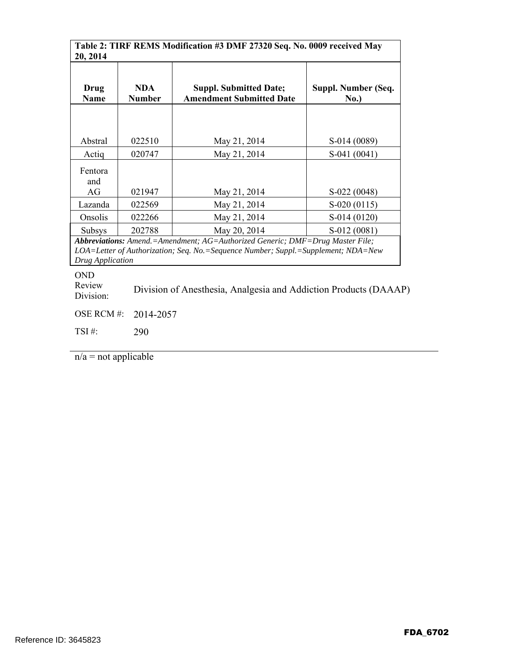**Table 2: TIRF REMS Modification #3 DMF 27320 Seq. No. 0009 received May**   $\sqrt{20}$ , 2014

| $-0, -0.1$                                                                                                                                                                             |                             |                                                                  |                               |  |
|----------------------------------------------------------------------------------------------------------------------------------------------------------------------------------------|-----------------------------|------------------------------------------------------------------|-------------------------------|--|
| Drug<br><b>Name</b>                                                                                                                                                                    | <b>NDA</b><br><b>Number</b> | <b>Suppl. Submitted Date;</b><br><b>Amendment Submitted Date</b> | Suppl. Number (Seq.<br>No.)   |  |
| Abstral                                                                                                                                                                                | 022510                      | May 21, 2014                                                     | S-014 (0089)                  |  |
| Actiq                                                                                                                                                                                  | 020747                      | May 21, 2014                                                     | $S-041(0041)$                 |  |
| Fentora<br>and<br>AG                                                                                                                                                                   |                             |                                                                  |                               |  |
| Lazanda                                                                                                                                                                                | 021947<br>022569            | May 21, 2014<br>May 21, 2014                                     | S-022 (0048)<br>$S-020(0115)$ |  |
| Onsolis                                                                                                                                                                                | 022266                      | May 21, 2014                                                     | S-014 (0120)                  |  |
| <b>Subsys</b>                                                                                                                                                                          | 202788                      | May 20, 2014                                                     | S-012 (0081)                  |  |
| Abbreviations: Amend.=Amendment; AG=Authorized Generic; DMF=Drug Master File;<br>LOA=Letter of Authorization; Seq. No.=Sequence Number; Suppl.=Supplement; NDA=New<br>Drug Application |                             |                                                                  |                               |  |

OND

Review Division: Division of Anesthesia, Analgesia and Addiction Products (DAAAP)

OSE RCM #: 2014-2057

TSI #: 290

 $n/a$  = not applicable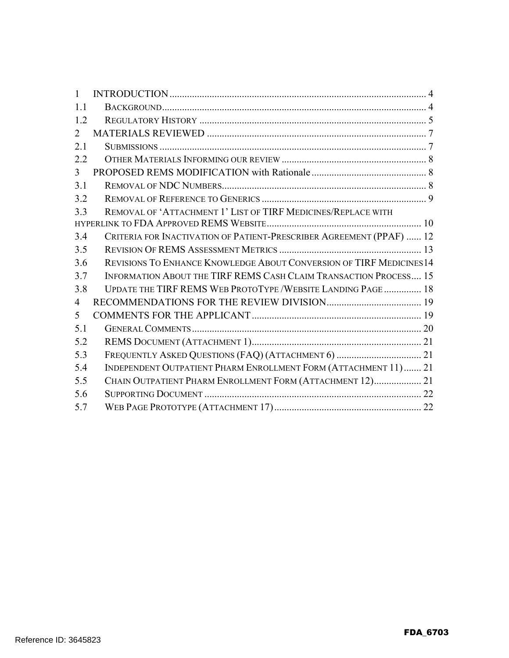| $\mathbf{1}$   |                                                                      |  |
|----------------|----------------------------------------------------------------------|--|
| 1.1            |                                                                      |  |
| 1.2            |                                                                      |  |
| 2              |                                                                      |  |
| 2.1            |                                                                      |  |
| 2.2            |                                                                      |  |
| $\mathfrak{Z}$ |                                                                      |  |
| 3.1            |                                                                      |  |
| 3.2            |                                                                      |  |
| 3.3            | REMOVAL OF 'ATTACHMENT 1' LIST OF TIRF MEDICINES/REPLACE WITH        |  |
|                |                                                                      |  |
| 3.4            | CRITERIA FOR INACTIVATION OF PATIENT-PRESCRIBER AGREEMENT (PPAF)  12 |  |
| 3.5            |                                                                      |  |
| 3.6            | REVISIONS TO ENHANCE KNOWLEDGE ABOUT CONVERSION OF TIRF MEDICINES14  |  |
| 3.7            | INFORMATION ABOUT THE TIRF REMS CASH CLAIM TRANSACTION PROCESS 15    |  |
| 3.8            | UPDATE THE TIRF REMS WEB PROTOTYPE / WEBSITE LANDING PAGE  18        |  |
| 4              |                                                                      |  |
| 5              |                                                                      |  |
| 5.1            |                                                                      |  |
| 5.2            |                                                                      |  |
| 5.3            |                                                                      |  |
| 5.4            | INDEPENDENT OUTPATIENT PHARM ENROLLMENT FORM (ATTACHMENT 11) 21      |  |
| 5.5            | CHAIN OUTPATIENT PHARM ENROLLMENT FORM (ATTACHMENT 12) 21            |  |
| 5.6            |                                                                      |  |
| 5.7            |                                                                      |  |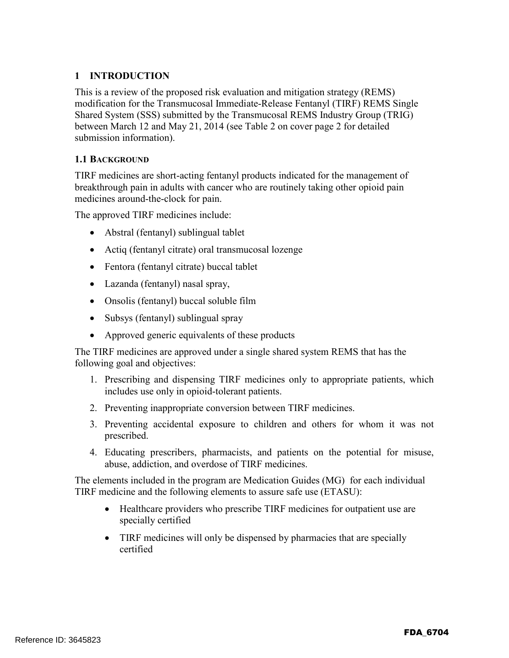#### **1 INTRODUCTION**

This is a review of the proposed risk evaluation and mitigation strategy (REMS) modification for the Transmucosal Immediate-Release Fentanyl (TIRF) REMS Single Shared System (SSS) submitted by the Transmucosal REMS Industry Group (TRIG) between March 12 and May 21, 2014 (see Table 2 on cover page 2 for detailed submission information).

#### **1.1 BACKGROUND**

TIRF medicines are short-acting fentanyl products indicated for the management of breakthrough pain in adults with cancer who are routinely taking other opioid pain medicines around-the-clock for pain.

The approved TIRF medicines include:

- Abstral (fentanyl) sublingual tablet
- Actiq (fentanyl citrate) oral transmucosal lozenge
- Fentora (fentanyl citrate) buccal tablet
- Lazanda (fentanyl) nasal spray,
- Onsolis (fentanyl) buccal soluble film
- Subsys (fentanyl) sublingual spray
- Approved generic equivalents of these products

The TIRF medicines are approved under a single shared system REMS that has the following goal and objectives:

- 1. Prescribing and dispensing TIRF medicines only to appropriate patients, which includes use only in opioid-tolerant patients.
- 2. Preventing inappropriate conversion between TIRF medicines.
- 3. Preventing accidental exposure to children and others for whom it was not prescribed.
- 4. Educating prescribers, pharmacists, and patients on the potential for misuse, abuse, addiction, and overdose of TIRF medicines.

The elements included in the program are Medication Guides (MG) for each individual TIRF medicine and the following elements to assure safe use (ETASU):

- Healthcare providers who prescribe TIRF medicines for outpatient use are specially certified
- TIRF medicines will only be dispensed by pharmacies that are specially certified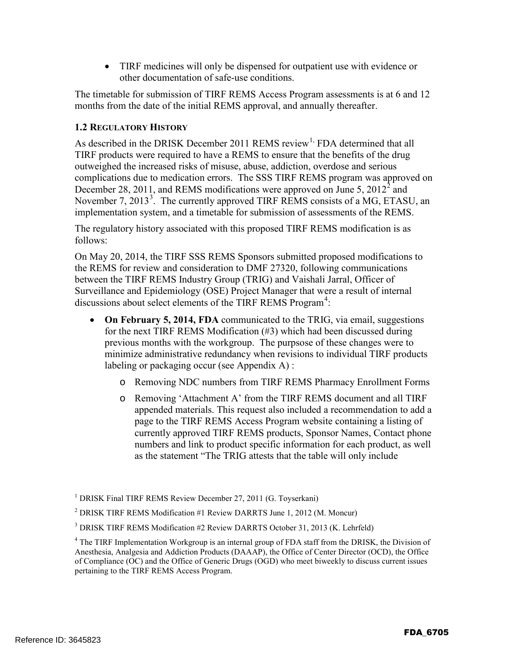• TIRF medicines will only be dispensed for outpatient use with evidence or other documentation of safe-use conditions.

The timetable for submission of TIRF REMS Access Program assessments is at 6 and 12 months from the date of the initial REMS approval, and annually thereafter.

#### **1.2 REGULATORY HISTORY**

As described in the DRISK December 2011 REMS review<sup>1,</sup> FDA determined that all TIRF products were required to have a REMS to ensure that the benefits of the drug outweighed the increased risks of misuse, abuse, addiction, overdose and serious complications due to medication errors. The SSS TIRF REMS program was approved on December 28, 2011, and REMS modifications were approved on June 5,  $2012^2$  and November 7, 2013<sup>3</sup>. The currently approved TIRF REMS consists of a MG, ETASU, an implementation system, and a timetable for submission of assessments of the REMS.

The regulatory history associated with this proposed TIRF REMS modification is as follows:

On May 20, 2014, the TIRF SSS REMS Sponsors submitted proposed modifications to the REMS for review and consideration to DMF 27320, following communications between the TIRF REMS Industry Group (TRIG) and Vaishali Jarral, Officer of Surveillance and Epidemiology (OSE) Project Manager that were a result of internal discussions about select elements of the TIRF REMS Program<sup>4</sup>:

- **On February 5, 2014, FDA** communicated to the TRIG, via email, suggestions for the next TIRF REMS Modification (#3) which had been discussed during previous months with the workgroup. The purpsose of these changes were to minimize administrative redundancy when revisions to individual TIRF products labeling or packaging occur (see Appendix A) :
	- o Removing NDC numbers from TIRF REMS Pharmacy Enrollment Forms
	- o Removing 'Attachment A' from the TIRF REMS document and all TIRF appended materials. This request also included a recommendation to add a page to the TIRF REMS Access Program website containing a listing of currently approved TIRF REMS products, Sponsor Names, Contact phone numbers and link to product specific information for each product, as well as the statement "The TRIG attests that the table will only include

<sup>&</sup>lt;sup>1</sup> DRISK Final TIRF REMS Review December 27, 2011 (G. Toyserkani)

<sup>2</sup> DRISK TIRF REMS Modification #1 Review DARRTS June 1, 2012 (M. Moncur)

<sup>&</sup>lt;sup>3</sup> DRISK TIRF REMS Modification #2 Review DARRTS October 31, 2013 (K. Lehrfeld)

<sup>&</sup>lt;sup>4</sup> The TIRF Implementation Workgroup is an internal group of FDA staff from the DRISK, the Division of Anesthesia, Analgesia and Addiction Products (DAAAP), the Office of Center Director (OCD), the Office of Compliance (OC) and the Office of Generic Drugs (OGD) who meet biweekly to discuss current issues pertaining to the TIRF REMS Access Program.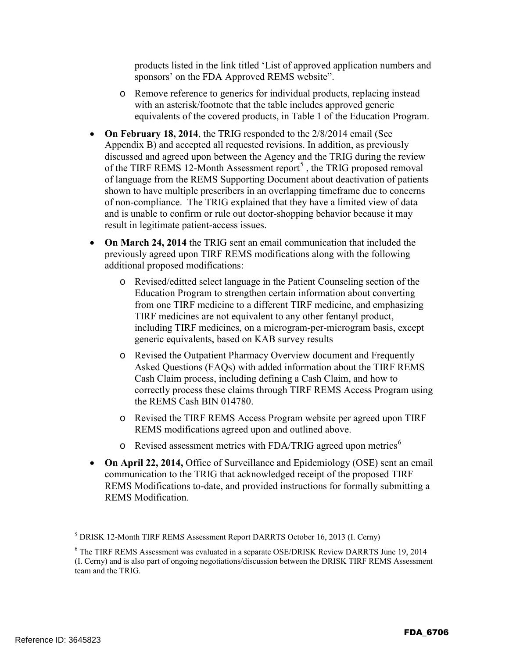products listed in the link titled 'List of approved application numbers and sponsors' on the FDA Approved REMS website".

- o Remove reference to generics for individual products, replacing instead with an asterisk/footnote that the table includes approved generic equivalents of the covered products, in Table 1 of the Education Program.
- **On February 18, 2014**, the TRIG responded to the 2/8/2014 email (See Appendix B) and accepted all requested revisions. In addition, as previously discussed and agreed upon between the Agency and the TRIG during the review of the TIRF REMS 12-Month Assessment report<sup>5</sup>, the TRIG proposed removal of language from the REMS Supporting Document about deactivation of patients shown to have multiple prescribers in an overlapping timeframe due to concerns of non-compliance. The TRIG explained that they have a limited view of data and is unable to confirm or rule out doctor-shopping behavior because it may result in legitimate patient-access issues.
- **On March 24, 2014** the TRIG sent an email communication that included the previously agreed upon TIRF REMS modifications along with the following additional proposed modifications:
	- o Revised/editted select language in the Patient Counseling section of the Education Program to strengthen certain information about converting from one TIRF medicine to a different TIRF medicine, and emphasizing TIRF medicines are not equivalent to any other fentanyl product, including TIRF medicines, on a microgram-per-microgram basis, except generic equivalents, based on KAB survey results
	- o Revised the Outpatient Pharmacy Overview document and Frequently Asked Questions (FAQs) with added information about the TIRF REMS Cash Claim process, including defining a Cash Claim, and how to correctly process these claims through TIRF REMS Access Program using the REMS Cash BIN 014780.
	- o Revised the TIRF REMS Access Program website per agreed upon TIRF REMS modifications agreed upon and outlined above.
	- $\circ$  Revised assessment metrics with FDA/TRIG agreed upon metrics<sup>6</sup>
- **On April 22, 2014,** Office of Surveillance and Epidemiology (OSE) sent an email communication to the TRIG that acknowledged receipt of the proposed TIRF REMS Modifications to-date, and provided instructions for formally submitting a REMS Modification.

 $<sup>5</sup> DRISK$  12-Month TIRF REMS Assessment Report DARRTS October 16, 2013 (I. Cerny)</sup>

<sup>6</sup> The TIRF REMS Assessment was evaluated in a separate OSE/DRISK Review DARRTS June 19, 2014 (I. Cerny) and is also part of ongoing negotiations/discussion between the DRISK TIRF REMS Assessment team and the TRIG.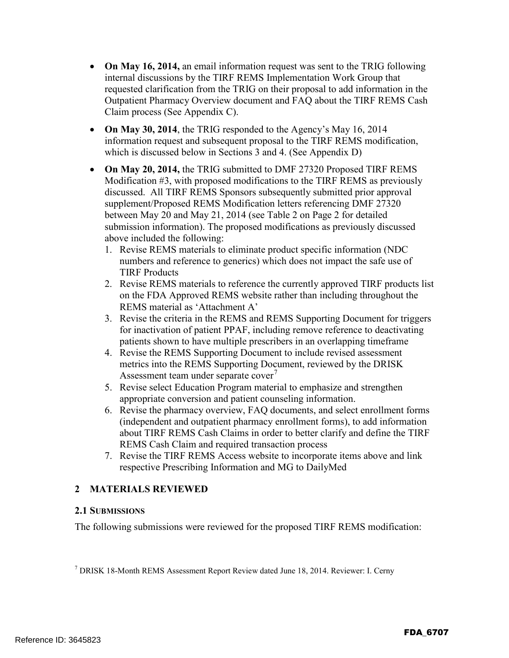- **On May 16, 2014,** an email information request was sent to the TRIG following internal discussions by the TIRF REMS Implementation Work Group that requested clarification from the TRIG on their proposal to add information in the Outpatient Pharmacy Overview document and FAQ about the TIRF REMS Cash Claim process (See Appendix C).
- On May 30, 2014, the TRIG responded to the Agency's May 16, 2014 information request and subsequent proposal to the TIRF REMS modification, which is discussed below in Sections 3 and 4. (See Appendix D)
- **On May 20, 2014,** the TRIG submitted to DMF 27320 Proposed TIRF REMS Modification #3, with proposed modifications to the TIRF REMS as previously discussed. All TIRF REMS Sponsors subsequently submitted prior approval supplement/Proposed REMS Modification letters referencing DMF 27320 between May 20 and May 21, 2014 (see Table 2 on Page 2 for detailed submission information). The proposed modifications as previously discussed above included the following:
	- 1. Revise REMS materials to eliminate product specific information (NDC numbers and reference to generics) which does not impact the safe use of TIRF Products
	- 2. Revise REMS materials to reference the currently approved TIRF products list on the FDA Approved REMS website rather than including throughout the REMS material as 'Attachment A'
	- 3. Revise the criteria in the REMS and REMS Supporting Document for triggers for inactivation of patient PPAF, including remove reference to deactivating patients shown to have multiple prescribers in an overlapping timeframe
	- 4. Revise the REMS Supporting Document to include revised assessment metrics into the REMS Supporting Document, reviewed by the DRISK Assessment team under separate cover<sup>7</sup>
	- 5. Revise select Education Program material to emphasize and strengthen appropriate conversion and patient counseling information.
	- 6. Revise the pharmacy overview, FAQ documents, and select enrollment forms (independent and outpatient pharmacy enrollment forms), to add information about TIRF REMS Cash Claims in order to better clarify and define the TIRF REMS Cash Claim and required transaction process
	- 7. Revise the TIRF REMS Access website to incorporate items above and link respective Prescribing Information and MG to DailyMed

### **2 MATERIALS REVIEWED**

#### **2.1 SUBMISSIONS**

The following submissions were reviewed for the proposed TIRF REMS modification:

<sup>7</sup> DRISK 18-Month REMS Assessment Report Review dated June 18, 2014. Reviewer: I. Cerny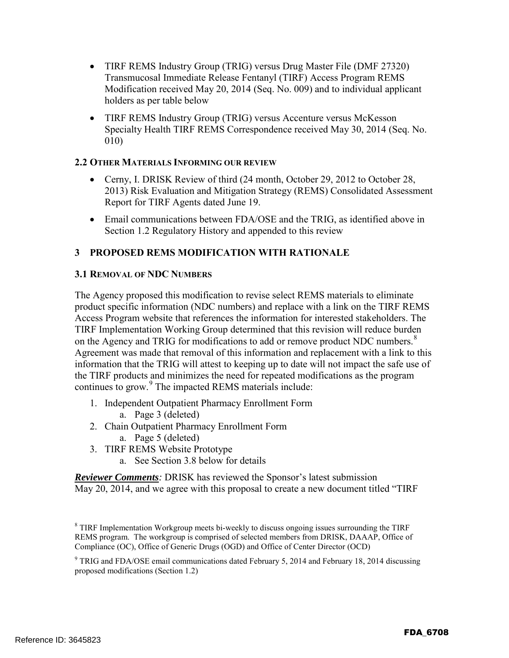- TIRF REMS Industry Group (TRIG) versus Drug Master File (DMF 27320) Transmucosal Immediate Release Fentanyl (TIRF) Access Program REMS Modification received May 20, 2014 (Seq. No. 009) and to individual applicant holders as per table below
- TIRF REMS Industry Group (TRIG) versus Accenture versus McKesson Specialty Health TIRF REMS Correspondence received May 30, 2014 (Seq. No. 010)

#### **2.2 OTHER MATERIALS INFORMING OUR REVIEW**

- Cerny, I. DRISK Review of third (24 month, October 29, 2012 to October 28, 2013) Risk Evaluation and Mitigation Strategy (REMS) Consolidated Assessment Report for TIRF Agents dated June 19.
- Email communications between FDA/OSE and the TRIG, as identified above in Section 1.2 Regulatory History and appended to this review

#### **3 PROPOSED REMS MODIFICATION WITH RATIONALE**

#### **3.1 REMOVAL OF NDC NUMBERS**

The Agency proposed this modification to revise select REMS materials to eliminate product specific information (NDC numbers) and replace with a link on the TIRF REMS Access Program website that references the information for interested stakeholders. The TIRF Implementation Working Group determined that this revision will reduce burden on the Agency and TRIG for modifications to add or remove product NDC numbers.<sup>8</sup> Agreement was made that removal of this information and replacement with a link to this information that the TRIG will attest to keeping up to date will not impact the safe use of the TIRF products and minimizes the need for repeated modifications as the program continues to grow.<sup>9</sup> The impacted REMS materials include:

- 1. Independent Outpatient Pharmacy Enrollment Form
	- a. Page 3 (deleted)
- 2. Chain Outpatient Pharmacy Enrollment Form
	- a. Page 5 (deleted)
- 3. TIRF REMS Website Prototype
	- a. See Section 3.8 below for details

*Reviewer Comments:* DRISK has reviewed the Sponsor's latest submission May 20, 2014, and we agree with this proposal to create a new document titled "TIRF

<sup>&</sup>lt;sup>8</sup> TIRF Implementation Workgroup meets bi-weekly to discuss ongoing issues surrounding the TIRF REMS program. The workgroup is comprised of selected members from DRISK, DAAAP, Office of Compliance (OC), Office of Generic Drugs (OGD) and Office of Center Director (OCD)

 $9$  TRIG and FDA/OSE email communications dated February 5, 2014 and February 18, 2014 discussing proposed modifications (Section 1.2)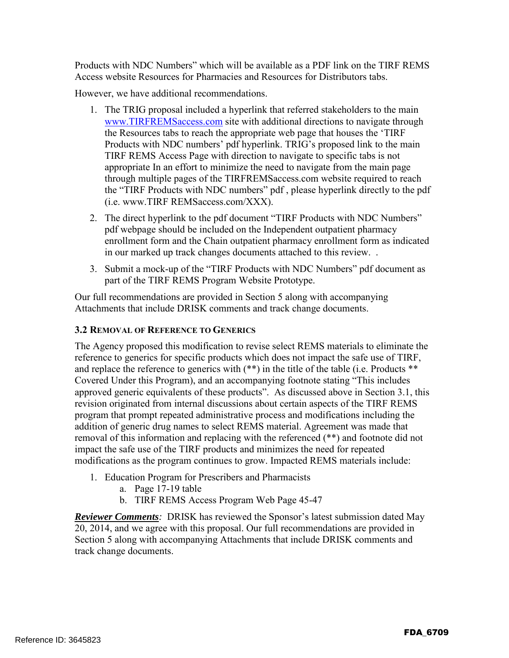Products with NDC Numbers" which will be available as a PDF link on the TIRF REMS Access website Resources for Pharmacies and Resources for Distributors tabs.

However, we have additional recommendations.

- 1. The TRIG proposal included a hyperlink that referred stakeholders to the main www.TIRFREMSaccess.com site with additional directions to navigate through the Resources tabs to reach the appropriate web page that houses the 'TIRF Products with NDC numbers' pdf hyperlink. TRIG's proposed link to the main TIRF REMS Access Page with direction to navigate to specific tabs is not appropriate In an effort to minimize the need to navigate from the main page through multiple pages of the TIRFREMSaccess.com website required to reach the "TIRF Products with NDC numbers" pdf , please hyperlink directly to the pdf (i.e. www.TIRF REMSaccess.com/XXX).
- 2. The direct hyperlink to the pdf document "TIRF Products with NDC Numbers" pdf webpage should be included on the Independent outpatient pharmacy enrollment form and the Chain outpatient pharmacy enrollment form as indicated in our marked up track changes documents attached to this review. .
- 3. Submit a mock-up of the "TIRF Products with NDC Numbers" pdf document as part of the TIRF REMS Program Website Prototype.

Our full recommendations are provided in Section 5 along with accompanying Attachments that include DRISK comments and track change documents.

#### **3.2 REMOVAL OF REFERENCE TO GENERICS**

The Agency proposed this modification to revise select REMS materials to eliminate the reference to generics for specific products which does not impact the safe use of TIRF, and replace the reference to generics with (\*\*) in the title of the table (i.e. Products \*\* Covered Under this Program), and an accompanying footnote stating "This includes approved generic equivalents of these products". As discussed above in Section 3.1, this revision originated from internal discussions about certain aspects of the TIRF REMS program that prompt repeated administrative process and modifications including the addition of generic drug names to select REMS material. Agreement was made that removal of this information and replacing with the referenced (\*\*) and footnote did not impact the safe use of the TIRF products and minimizes the need for repeated modifications as the program continues to grow. Impacted REMS materials include:

- 1. Education Program for Prescribers and Pharmacists
	- a. Page 17-19 table
	- b. TIRF REMS Access Program Web Page 45-47

*Reviewer Comments:* DRISK has reviewed the Sponsor's latest submission dated May 20, 2014, and we agree with this proposal. Our full recommendations are provided in Section 5 along with accompanying Attachments that include DRISK comments and track change documents.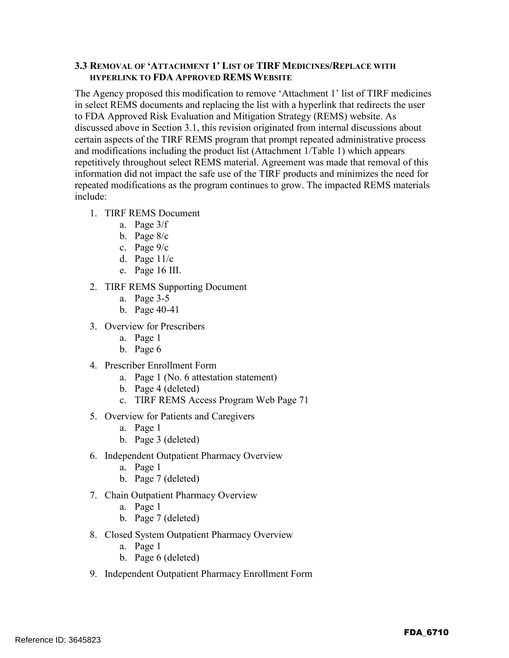#### **3.3 REMOVAL OF 'ATTACHMENT 1' LIST OF TIRF MEDICINES/REPLACE WITH HYPERLINK TO FDA APPROVED REMS WEBSITE**

The Agency proposed this modification to remove 'Attachment 1' list of TIRF medicines in select REMS documents and replacing the list with a hyperlink that redirects the user to FDA Approved Risk Evaluation and Mitigation Strategy (REMS) website. As discussed above in Section 3.1, this revision originated from internal discussions about certain aspects of the TIRF REMS program that prompt repeated administrative process and modifications including the product list (Attachment 1/Table 1) which appears repetitively throughout select REMS material. Agreement was made that removal of this information did not impact the safe use of the TIRF products and minimizes the need for repeated modifications as the program continues to grow. The impacted REMS materials include:

- 1. TIRF REMS Document
	- a. Page 3/f
	- b. Page 8/c
	- c. Page 9/c
	- d. Page 11/c
	- e. Page 16 III.
- 2. TIRF REMS Supporting Document
	- a. Page 3-5
	- b. Page 40-41
- 3. Overview for Prescribers
	- a. Page 1
	- b. Page 6
- 4. Prescriber Enrollment Form
	- a. Page 1 (No. 6 attestation statement)
	- b. Page 4 (deleted)
	- c. TIRF REMS Access Program Web Page 71
- 5. Overview for Patients and Caregivers
	- a. Page 1
	- b. Page 3 (deleted)
- 6. Independent Outpatient Pharmacy Overview
	- a. Page 1
	- b. Page 7 (deleted)
- 7. Chain Outpatient Pharmacy Overview
	- a. Page 1
	- b. Page 7 (deleted)
- 8. Closed System Outpatient Pharmacy Overview
	- a. Page 1
	- b. Page 6 (deleted)
- 9. Independent Outpatient Pharmacy Enrollment Form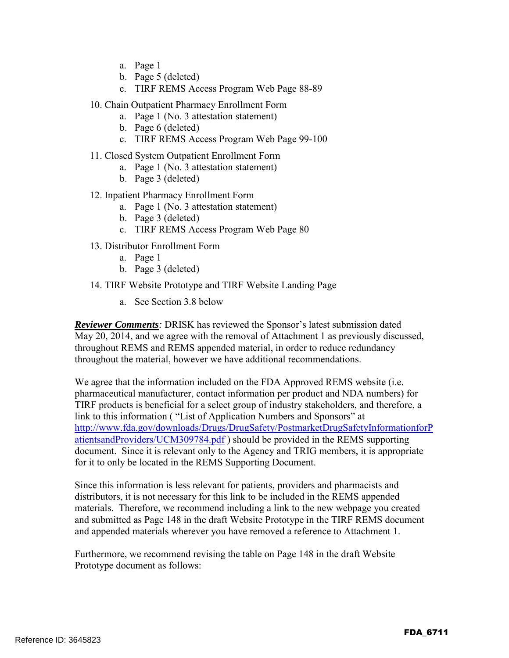- a. Page 1
- b. Page 5 (deleted)
- c. TIRF REMS Access Program Web Page 88-89
- 10. Chain Outpatient Pharmacy Enrollment Form
	- a. Page 1 (No. 3 attestation statement)
	- b. Page 6 (deleted)
	- c. TIRF REMS Access Program Web Page 99-100
- 11. Closed System Outpatient Enrollment Form
	- a. Page 1 (No. 3 attestation statement)
	- b. Page 3 (deleted)
- 12. Inpatient Pharmacy Enrollment Form
	- a. Page 1 (No. 3 attestation statement)
	- b. Page 3 (deleted)
	- c. TIRF REMS Access Program Web Page 80
- 13. Distributor Enrollment Form
	- a. Page 1
	- b. Page 3 (deleted)
- 14. TIRF Website Prototype and TIRF Website Landing Page
	- a. See Section 3.8 below

*Reviewer Comments:* DRISK has reviewed the Sponsor's latest submission dated May 20, 2014, and we agree with the removal of Attachment 1 as previously discussed, throughout REMS and REMS appended material, in order to reduce redundancy throughout the material, however we have additional recommendations.

We agree that the information included on the FDA Approved REMS website (i.e. pharmaceutical manufacturer, contact information per product and NDA numbers) for TIRF products is beneficial for a select group of industry stakeholders, and therefore, a link to this information ( "List of Application Numbers and Sponsors" at http://www.fda.gov/downloads/Drugs/DrugSafety/PostmarketDrugSafetyInformationforP atientsandProviders/UCM309784.pdf ) should be provided in the REMS supporting document. Since it is relevant only to the Agency and TRIG members, it is appropriate for it to only be located in the REMS Supporting Document.

Since this information is less relevant for patients, providers and pharmacists and distributors, it is not necessary for this link to be included in the REMS appended materials. Therefore, we recommend including a link to the new webpage you created and submitted as Page 148 in the draft Website Prototype in the TIRF REMS document and appended materials wherever you have removed a reference to Attachment 1.

Furthermore, we recommend revising the table on Page 148 in the draft Website Prototype document as follows: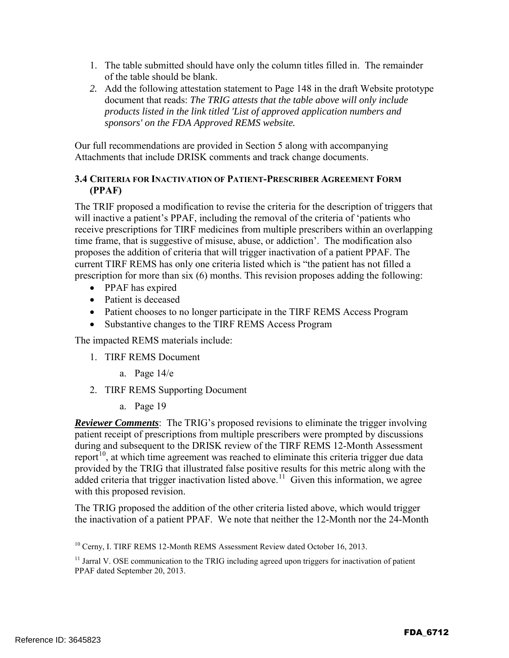- 1. The table submitted should have only the column titles filled in. The remainder of the table should be blank.
- *2.* Add the following attestation statement to Page 148 in the draft Website prototype document that reads: *The TRIG attests that the table above will only include products listed in the link titled 'List of approved application numbers and sponsors' on the FDA Approved REMS website.*

Our full recommendations are provided in Section 5 along with accompanying Attachments that include DRISK comments and track change documents.

#### **3.4 CRITERIA FOR INACTIVATION OF PATIENT-PRESCRIBER AGREEMENT FORM (PPAF)**

The TRIF proposed a modification to revise the criteria for the description of triggers that will inactive a patient's PPAF, including the removal of the criteria of 'patients who receive prescriptions for TIRF medicines from multiple prescribers within an overlapping time frame, that is suggestive of misuse, abuse, or addiction'. The modification also proposes the addition of criteria that will trigger inactivation of a patient PPAF. The current TIRF REMS has only one criteria listed which is "the patient has not filled a prescription for more than six (6) months. This revision proposes adding the following:

- PPAF has expired
- Patient is deceased
- Patient chooses to no longer participate in the TIRF REMS Access Program
- Substantive changes to the TIRF REMS Access Program

The impacted REMS materials include:

- 1. TIRF REMS Document
	- a. Page 14/e
- 2. TIRF REMS Supporting Document
	- a. Page 19

*Reviewer Comments*: The TRIG's proposed revisions to eliminate the trigger involving patient receipt of prescriptions from multiple prescribers were prompted by discussions during and subsequent to the DRISK review of the TIRF REMS 12-Month Assessment report<sup>10</sup>, at which time agreement was reached to eliminate this criteria trigger due data provided by the TRIG that illustrated false positive results for this metric along with the added criteria that trigger inactivation listed above.<sup>11</sup> Given this information, we agree with this proposed revision.

The TRIG proposed the addition of the other criteria listed above, which would trigger the inactivation of a patient PPAF. We note that neither the 12-Month nor the 24-Month

<sup>&</sup>lt;sup>10</sup> Cerny, I. TIRF REMS 12-Month REMS Assessment Review dated October 16, 2013.

 $11$  Jarral V. OSE communication to the TRIG including agreed upon triggers for inactivation of patient PPAF dated September 20, 2013.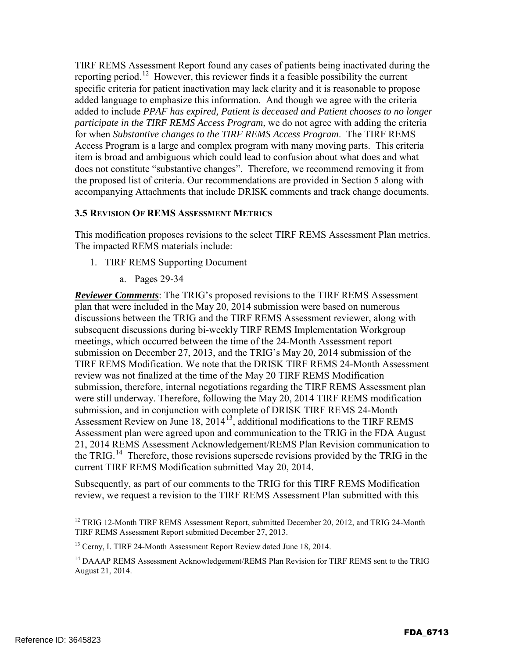TIRF REMS Assessment Report found any cases of patients being inactivated during the reporting period.12 However, this reviewer finds it a feasible possibility the current specific criteria for patient inactivation may lack clarity and it is reasonable to propose added language to emphasize this information. And though we agree with the criteria added to include *PPAF has expired, Patient is deceased and Patient chooses to no longer participate in the TIRF REMS Access Program*, we do not agree with adding the criteria for when *Substantive changes to the TIRF REMS Access Program*. The TIRF REMS Access Program is a large and complex program with many moving parts. This criteria item is broad and ambiguous which could lead to confusion about what does and what does not constitute "substantive changes". Therefore, we recommend removing it from the proposed list of criteria. Our recommendations are provided in Section 5 along with accompanying Attachments that include DRISK comments and track change documents.

#### **3.5 REVISION OF REMS ASSESSMENT METRICS**

This modification proposes revisions to the select TIRF REMS Assessment Plan metrics. The impacted REMS materials include:

- 1. TIRF REMS Supporting Document
	- a. Pages 29-34

*Reviewer Comments*: The TRIG's proposed revisions to the TIRF REMS Assessment plan that were included in the May 20, 2014 submission were based on numerous discussions between the TRIG and the TIRF REMS Assessment reviewer, along with subsequent discussions during bi-weekly TIRF REMS Implementation Workgroup meetings, which occurred between the time of the 24-Month Assessment report submission on December 27, 2013, and the TRIG's May 20, 2014 submission of the TIRF REMS Modification. We note that the DRISK TIRF REMS 24-Month Assessment review was not finalized at the time of the May 20 TIRF REMS Modification submission, therefore, internal negotiations regarding the TIRF REMS Assessment plan were still underway. Therefore, following the May 20, 2014 TIRF REMS modification submission, and in conjunction with complete of DRISK TIRF REMS 24-Month Assessment Review on June 18, 201413, additional modifications to the TIRF REMS Assessment plan were agreed upon and communication to the TRIG in the FDA August 21, 2014 REMS Assessment Acknowledgement/REMS Plan Revision communication to the TRIG.<sup>14</sup> Therefore, those revisions supersede revisions provided by the TRIG in the current TIRF REMS Modification submitted May 20, 2014.

Subsequently, as part of our comments to the TRIG for this TIRF REMS Modification review, we request a revision to the TIRF REMS Assessment Plan submitted with this

<sup>&</sup>lt;sup>12</sup> TRIG 12-Month TIRF REMS Assessment Report, submitted December 20, 2012, and TRIG 24-Month TIRF REMS Assessment Report submitted December 27, 2013.

<sup>&</sup>lt;sup>13</sup> Cerny, I. TIRF 24-Month Assessment Report Review dated June 18, 2014.

<sup>&</sup>lt;sup>14</sup> DAAAP REMS Assessment Acknowledgement/REMS Plan Revision for TIRF REMS sent to the TRIG August 21, 2014.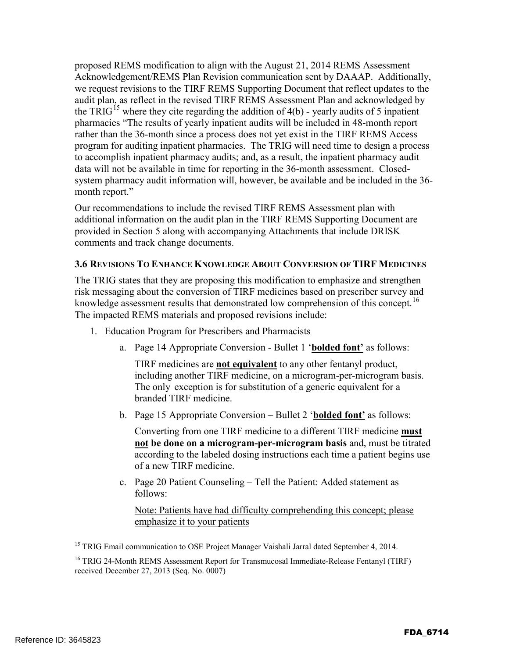proposed REMS modification to align with the August 21, 2014 REMS Assessment Acknowledgement/REMS Plan Revision communication sent by DAAAP. Additionally, we request revisions to the TIRF REMS Supporting Document that reflect updates to the audit plan, as reflect in the revised TIRF REMS Assessment Plan and acknowledged by the TRIG<sup>15</sup> where they cite regarding the addition of  $4(b)$  - yearly audits of 5 inpatient pharmacies "The results of yearly inpatient audits will be included in 48-month report rather than the 36-month since a process does not yet exist in the TIRF REMS Access program for auditing inpatient pharmacies. The TRIG will need time to design a process to accomplish inpatient pharmacy audits; and, as a result, the inpatient pharmacy audit data will not be available in time for reporting in the 36-month assessment. Closedsystem pharmacy audit information will, however, be available and be included in the 36 month report."

Our recommendations to include the revised TIRF REMS Assessment plan with additional information on the audit plan in the TIRF REMS Supporting Document are provided in Section 5 along with accompanying Attachments that include DRISK comments and track change documents.

#### **3.6 REVISIONS TO ENHANCE KNOWLEDGE ABOUT CONVERSION OF TIRF MEDICINES**

The TRIG states that they are proposing this modification to emphasize and strengthen risk messaging about the conversion of TIRF medicines based on prescriber survey and knowledge assessment results that demonstrated low comprehension of this concept.<sup>16</sup> The impacted REMS materials and proposed revisions include:

- 1. Education Program for Prescribers and Pharmacists
	- a. Page 14 Appropriate Conversion Bullet 1 '**bolded font'** as follows:

TIRF medicines are **not equivalent** to any other fentanyl product, including another TIRF medicine, on a microgram-per-microgram basis. The only exception is for substitution of a generic equivalent for a branded TIRF medicine.

b. Page 15 Appropriate Conversion – Bullet 2 '**bolded font'** as follows:

Converting from one TIRF medicine to a different TIRF medicine **must not be done on a microgram-per-microgram basis** and, must be titrated according to the labeled dosing instructions each time a patient begins use of a new TIRF medicine.

c. Page 20 Patient Counseling – Tell the Patient: Added statement as follows:

Note: Patients have had difficulty comprehending this concept; please emphasize it to your patients

<sup>15</sup> TRIG Email communication to OSE Project Manager Vaishali Jarral dated September 4, 2014.

<sup>16</sup> TRIG 24-Month REMS Assessment Report for Transmucosal Immediate-Release Fentanyl (TIRF) received December 27, 2013 (Seq. No. 0007)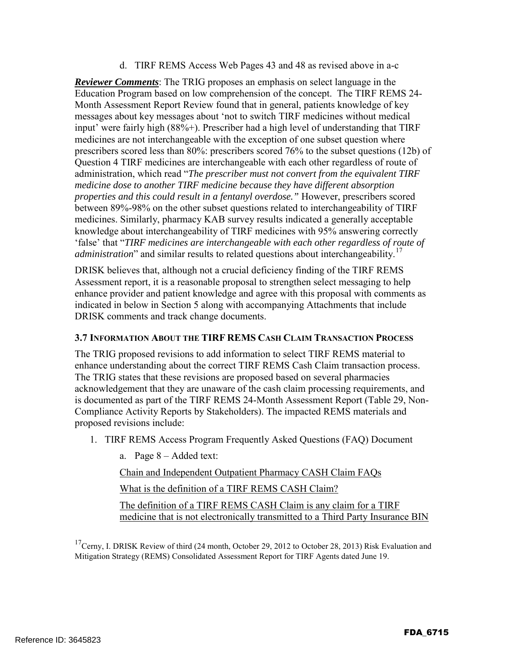d. TIRF REMS Access Web Pages 43 and 48 as revised above in a-c

*Reviewer Comments*: The TRIG proposes an emphasis on select language in the Education Program based on low comprehension of the concept. The TIRF REMS 24- Month Assessment Report Review found that in general, patients knowledge of key messages about key messages about 'not to switch TIRF medicines without medical input' were fairly high (88%+). Prescriber had a high level of understanding that TIRF medicines are not interchangeable with the exception of one subset question where prescribers scored less than 80%: prescribers scored 76% to the subset questions (12b) of Question 4 TIRF medicines are interchangeable with each other regardless of route of administration, which read "*The prescriber must not convert from the equivalent TIRF medicine dose to another TIRF medicine because they have different absorption properties and this could result in a fentanyl overdose."* However, prescribers scored between 89%-98% on the other subset questions related to interchangeability of TIRF medicines. Similarly, pharmacy KAB survey results indicated a generally acceptable knowledge about interchangeability of TIRF medicines with 95% answering correctly 'false' that "*TIRF medicines are interchangeable with each other regardless of route of administration*" and similar results to related questions about interchangeability.<sup>17</sup>

DRISK believes that, although not a crucial deficiency finding of the TIRF REMS Assessment report, it is a reasonable proposal to strengthen select messaging to help enhance provider and patient knowledge and agree with this proposal with comments as indicated in below in Section 5 along with accompanying Attachments that include DRISK comments and track change documents.

#### **3.7 INFORMATION ABOUT THE TIRF REMS CASH CLAIM TRANSACTION PROCESS**

The TRIG proposed revisions to add information to select TIRF REMS material to enhance understanding about the correct TIRF REMS Cash Claim transaction process. The TRIG states that these revisions are proposed based on several pharmacies acknowledgement that they are unaware of the cash claim processing requirements, and is documented as part of the TIRF REMS 24-Month Assessment Report (Table 29, Non-Compliance Activity Reports by Stakeholders). The impacted REMS materials and proposed revisions include:

1. TIRF REMS Access Program Frequently Asked Questions (FAQ) Document

a. Page 8 – Added text:

Chain and Independent Outpatient Pharmacy CASH Claim FAQs

What is the definition of a TIRF REMS CASH Claim?

The definition of a TIRF REMS CASH Claim is any claim for a TIRF medicine that is not electronically transmitted to a Third Party Insurance BIN

 $17$ Cerny, I. DRISK Review of third (24 month, October 29, 2012 to October 28, 2013) Risk Evaluation and Mitigation Strategy (REMS) Consolidated Assessment Report for TIRF Agents dated June 19.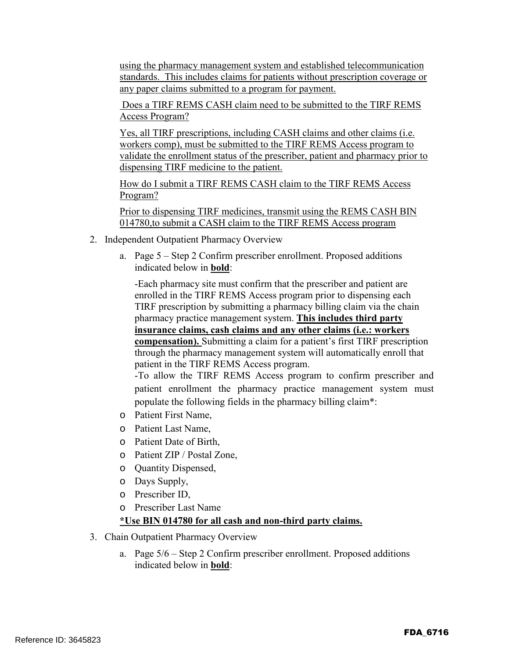using the pharmacy management system and established telecommunication standards. This includes claims for patients without prescription coverage or any paper claims submitted to a program for payment.

Does a TIRF REMS CASH claim need to be submitted to the TIRF REMS Access Program?

Yes, all TIRF prescriptions, including CASH claims and other claims (i.e. workers comp), must be submitted to the TIRF REMS Access program to validate the enrollment status of the prescriber, patient and pharmacy prior to dispensing TIRF medicine to the patient.

How do I submit a TIRF REMS CASH claim to the TIRF REMS Access Program?

Prior to dispensing TIRF medicines, transmit using the REMS CASH BIN 014780,to submit a CASH claim to the TIRF REMS Access program

- 2. Independent Outpatient Pharmacy Overview
	- a. Page 5 Step 2 Confirm prescriber enrollment. Proposed additions indicated below in **bold**:

-Each pharmacy site must confirm that the prescriber and patient are enrolled in the TIRF REMS Access program prior to dispensing each TIRF prescription by submitting a pharmacy billing claim via the chain pharmacy practice management system. **This includes third party insurance claims, cash claims and any other claims (i.e.: workers compensation).** Submitting a claim for a patient's first TIRF prescription through the pharmacy management system will automatically enroll that patient in the TIRF REMS Access program.

-To allow the TIRF REMS Access program to confirm prescriber and patient enrollment the pharmacy practice management system must populate the following fields in the pharmacy billing claim\*:

- o Patient First Name,
- o Patient Last Name,
- o Patient Date of Birth,
- o Patient ZIP / Postal Zone,
- o Quantity Dispensed,
- o Days Supply,
- o Prescriber ID,
- o Prescriber Last Name

#### **\*Use BIN 014780 for all cash and non-third party claims.**

- 3. Chain Outpatient Pharmacy Overview
	- a. Page 5/6 Step 2 Confirm prescriber enrollment. Proposed additions indicated below in **bold**: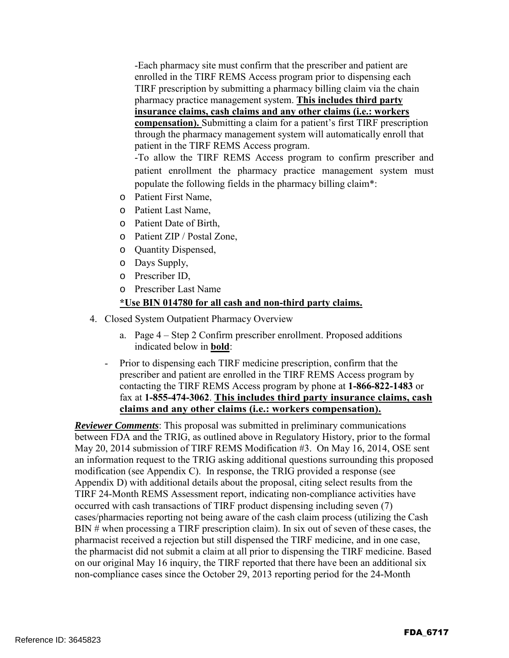-Each pharmacy site must confirm that the prescriber and patient are enrolled in the TIRF REMS Access program prior to dispensing each TIRF prescription by submitting a pharmacy billing claim via the chain pharmacy practice management system. **This includes third party insurance claims, cash claims and any other claims (i.e.: workers compensation).** Submitting a claim for a patient's first TIRF prescription through the pharmacy management system will automatically enroll that patient in the TIRF REMS Access program.

-To allow the TIRF REMS Access program to confirm prescriber and patient enrollment the pharmacy practice management system must populate the following fields in the pharmacy billing claim\*:

- o Patient First Name,
- o Patient Last Name,
- o Patient Date of Birth,
- o Patient ZIP / Postal Zone,
- o Quantity Dispensed,
- o Days Supply,
- o Prescriber ID,
- o Prescriber Last Name

#### **\*Use BIN 014780 for all cash and non-third party claims.**

- 4. Closed System Outpatient Pharmacy Overview
	- a. Page 4 Step 2 Confirm prescriber enrollment. Proposed additions indicated below in **bold**:
	- Prior to dispensing each TIRF medicine prescription, confirm that the prescriber and patient are enrolled in the TIRF REMS Access program by contacting the TIRF REMS Access program by phone at **1-866-822-1483** or fax at **1-855-474-3062**. **This includes third party insurance claims, cash claims and any other claims (i.e.: workers compensation).**

*Reviewer Comments*: This proposal was submitted in preliminary communications between FDA and the TRIG, as outlined above in Regulatory History, prior to the formal May 20, 2014 submission of TIRF REMS Modification #3. On May 16, 2014, OSE sent an information request to the TRIG asking additional questions surrounding this proposed modification (see Appendix C). In response, the TRIG provided a response (see Appendix D) with additional details about the proposal, citing select results from the TIRF 24-Month REMS Assessment report, indicating non-compliance activities have occurred with cash transactions of TIRF product dispensing including seven (7) cases/pharmacies reporting not being aware of the cash claim process (utilizing the Cash BIN # when processing a TIRF prescription claim). In six out of seven of these cases, the pharmacist received a rejection but still dispensed the TIRF medicine, and in one case, the pharmacist did not submit a claim at all prior to dispensing the TIRF medicine. Based on our original May 16 inquiry, the TIRF reported that there have been an additional six non-compliance cases since the October 29, 2013 reporting period for the 24-Month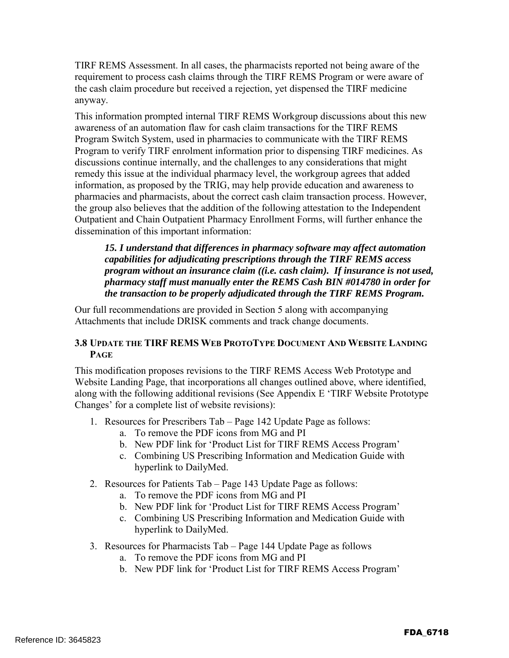TIRF REMS Assessment. In all cases, the pharmacists reported not being aware of the requirement to process cash claims through the TIRF REMS Program or were aware of the cash claim procedure but received a rejection, yet dispensed the TIRF medicine anyway.

This information prompted internal TIRF REMS Workgroup discussions about this new awareness of an automation flaw for cash claim transactions for the TIRF REMS Program Switch System, used in pharmacies to communicate with the TIRF REMS Program to verify TIRF enrolment information prior to dispensing TIRF medicines. As discussions continue internally, and the challenges to any considerations that might remedy this issue at the individual pharmacy level, the workgroup agrees that added information, as proposed by the TRIG, may help provide education and awareness to pharmacies and pharmacists, about the correct cash claim transaction process. However, the group also believes that the addition of the following attestation to the Independent Outpatient and Chain Outpatient Pharmacy Enrollment Forms, will further enhance the dissemination of this important information:

*15. I understand that differences in pharmacy software may affect automation capabilities for adjudicating prescriptions through the TIRF REMS access program without an insurance claim ((i.e. cash claim). If insurance is not used, pharmacy staff must manually enter the REMS Cash BIN #014780 in order for the transaction to be properly adjudicated through the TIRF REMS Program.*

Our full recommendations are provided in Section 5 along with accompanying Attachments that include DRISK comments and track change documents.

#### **3.8 UPDATE THE TIRF REMS WEB PROTOTYPE DOCUMENT AND WEBSITE LANDING PAGE**

This modification proposes revisions to the TIRF REMS Access Web Prototype and Website Landing Page, that incorporations all changes outlined above, where identified, along with the following additional revisions (See Appendix E 'TIRF Website Prototype Changes' for a complete list of website revisions):

- 1. Resources for Prescribers Tab Page 142 Update Page as follows:
	- a. To remove the PDF icons from MG and PI
	- b. New PDF link for 'Product List for TIRF REMS Access Program'
	- c. Combining US Prescribing Information and Medication Guide with hyperlink to DailyMed.
- 2. Resources for Patients Tab Page 143 Update Page as follows:
	- a. To remove the PDF icons from MG and PI
	- b. New PDF link for 'Product List for TIRF REMS Access Program'
	- c. Combining US Prescribing Information and Medication Guide with hyperlink to DailyMed.
- 3. Resources for Pharmacists Tab Page 144 Update Page as follows
	- a. To remove the PDF icons from MG and PI
	- b. New PDF link for 'Product List for TIRF REMS Access Program'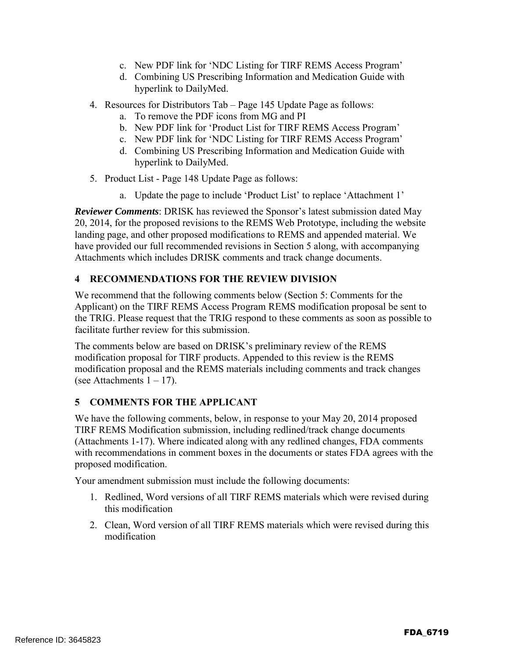- c. New PDF link for 'NDC Listing for TIRF REMS Access Program'
- d. Combining US Prescribing Information and Medication Guide with hyperlink to DailyMed.
- 4. Resources for Distributors Tab Page 145 Update Page as follows:
	- a. To remove the PDF icons from MG and PI
	- b. New PDF link for 'Product List for TIRF REMS Access Program'
	- c. New PDF link for 'NDC Listing for TIRF REMS Access Program'
	- d. Combining US Prescribing Information and Medication Guide with hyperlink to DailyMed.
- 5. Product List Page 148 Update Page as follows:
	- a. Update the page to include 'Product List' to replace 'Attachment 1'

*Reviewer Comments*: DRISK has reviewed the Sponsor's latest submission dated May 20, 2014, for the proposed revisions to the REMS Web Prototype, including the website landing page, and other proposed modifications to REMS and appended material. We have provided our full recommended revisions in Section 5 along, with accompanying Attachments which includes DRISK comments and track change documents.

#### **4 RECOMMENDATIONS FOR THE REVIEW DIVISION**

We recommend that the following comments below (Section 5: Comments for the Applicant) on the TIRF REMS Access Program REMS modification proposal be sent to the TRIG. Please request that the TRIG respond to these comments as soon as possible to facilitate further review for this submission.

The comments below are based on DRISK's preliminary review of the REMS modification proposal for TIRF products. Appended to this review is the REMS modification proposal and the REMS materials including comments and track changes (see Attachments  $1 - 17$ ).

#### **5 COMMENTS FOR THE APPLICANT**

We have the following comments, below, in response to your May 20, 2014 proposed TIRF REMS Modification submission, including redlined/track change documents (Attachments 1-17). Where indicated along with any redlined changes, FDA comments with recommendations in comment boxes in the documents or states FDA agrees with the proposed modification.

Your amendment submission must include the following documents:

- 1. Redlined, Word versions of all TIRF REMS materials which were revised during this modification
- 2. Clean, Word version of all TIRF REMS materials which were revised during this modification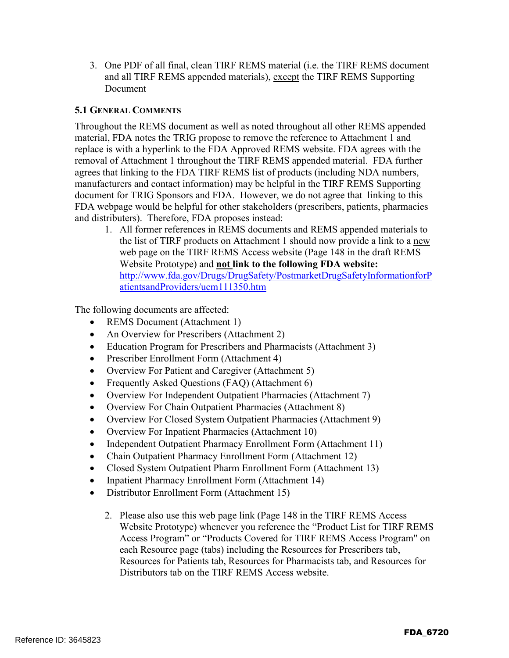3. One PDF of all final, clean TIRF REMS material (i.e. the TIRF REMS document and all TIRF REMS appended materials), except the TIRF REMS Supporting Document

#### **5.1 GENERAL COMMENTS**

Throughout the REMS document as well as noted throughout all other REMS appended material, FDA notes the TRIG propose to remove the reference to Attachment 1 and replace is with a hyperlink to the FDA Approved REMS website. FDA agrees with the removal of Attachment 1 throughout the TIRF REMS appended material. FDA further agrees that linking to the FDA TIRF REMS list of products (including NDA numbers, manufacturers and contact information) may be helpful in the TIRF REMS Supporting document for TRIG Sponsors and FDA. However, we do not agree that linking to this FDA webpage would be helpful for other stakeholders (prescribers, patients, pharmacies and distributers). Therefore, FDA proposes instead:

1. All former references in REMS documents and REMS appended materials to the list of TIRF products on Attachment 1 should now provide a link to a new web page on the TIRF REMS Access website (Page 148 in the draft REMS Website Prototype) and **not link to the following FDA website:**  http://www.fda.gov/Drugs/DrugSafety/PostmarketDrugSafetyInformationforP atientsandProviders/ucm111350.htm

The following documents are affected:

- REMS Document (Attachment 1)
- An Overview for Prescribers (Attachment 2)
- Education Program for Prescribers and Pharmacists (Attachment 3)
- Prescriber Enrollment Form (Attachment 4)
- Overview For Patient and Caregiver (Attachment 5)
- Frequently Asked Questions (FAQ) (Attachment 6)
- Overview For Independent Outpatient Pharmacies (Attachment 7)
- Overview For Chain Outpatient Pharmacies (Attachment 8)
- Overview For Closed System Outpatient Pharmacies (Attachment 9)
- Overview For Inpatient Pharmacies (Attachment 10)
- Independent Outpatient Pharmacy Enrollment Form (Attachment 11)
- Chain Outpatient Pharmacy Enrollment Form (Attachment 12)
- Closed System Outpatient Pharm Enrollment Form (Attachment 13)
- Inpatient Pharmacy Enrollment Form (Attachment 14)
- Distributor Enrollment Form (Attachment 15)
	- 2. Please also use this web page link (Page 148 in the TIRF REMS Access Website Prototype) whenever you reference the "Product List for TIRF REMS Access Program" or "Products Covered for TIRF REMS Access Program" on each Resource page (tabs) including the Resources for Prescribers tab, Resources for Patients tab, Resources for Pharmacists tab, and Resources for Distributors tab on the TIRF REMS Access website.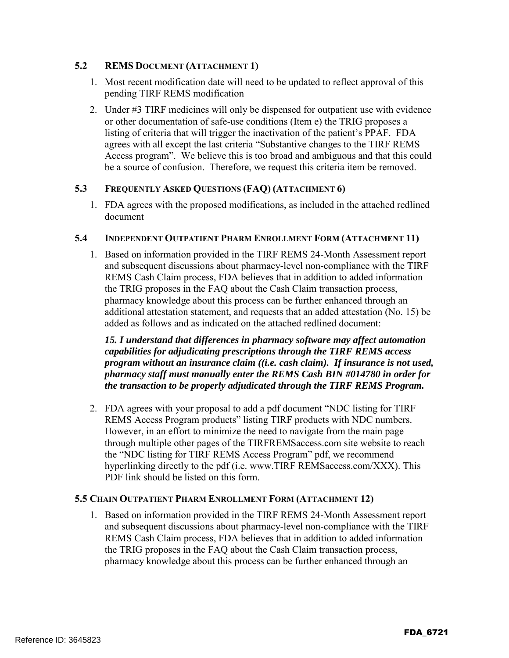#### **5.2 REMS DOCUMENT (ATTACHMENT 1)**

- 1. Most recent modification date will need to be updated to reflect approval of this pending TIRF REMS modification
- 2. Under #3 TIRF medicines will only be dispensed for outpatient use with evidence or other documentation of safe-use conditions (Item e) the TRIG proposes a listing of criteria that will trigger the inactivation of the patient's PPAF. FDA agrees with all except the last criteria "Substantive changes to the TIRF REMS Access program". We believe this is too broad and ambiguous and that this could be a source of confusion. Therefore, we request this criteria item be removed.

#### **5.3 FREQUENTLY ASKED QUESTIONS (FAQ) (ATTACHMENT 6)**

1. FDA agrees with the proposed modifications, as included in the attached redlined document

#### **5.4 INDEPENDENT OUTPATIENT PHARM ENROLLMENT FORM (ATTACHMENT 11)**

1. Based on information provided in the TIRF REMS 24-Month Assessment report and subsequent discussions about pharmacy-level non-compliance with the TIRF REMS Cash Claim process, FDA believes that in addition to added information the TRIG proposes in the FAQ about the Cash Claim transaction process, pharmacy knowledge about this process can be further enhanced through an additional attestation statement, and requests that an added attestation (No. 15) be added as follows and as indicated on the attached redlined document:

*15. I understand that differences in pharmacy software may affect automation capabilities for adjudicating prescriptions through the TIRF REMS access program without an insurance claim ((i.e. cash claim). If insurance is not used, pharmacy staff must manually enter the REMS Cash BIN #014780 in order for the transaction to be properly adjudicated through the TIRF REMS Program.* 

2. FDA agrees with your proposal to add a pdf document "NDC listing for TIRF REMS Access Program products" listing TIRF products with NDC numbers. However, in an effort to minimize the need to navigate from the main page through multiple other pages of the TIRFREMSaccess.com site website to reach the "NDC listing for TIRF REMS Access Program" pdf, we recommend hyperlinking directly to the pdf (i.e. www.TIRF REMSaccess.com/XXX). This PDF link should be listed on this form.

#### **5.5 CHAIN OUTPATIENT PHARM ENROLLMENT FORM (ATTACHMENT 12)**

1. Based on information provided in the TIRF REMS 24-Month Assessment report and subsequent discussions about pharmacy-level non-compliance with the TIRF REMS Cash Claim process, FDA believes that in addition to added information the TRIG proposes in the FAQ about the Cash Claim transaction process, pharmacy knowledge about this process can be further enhanced through an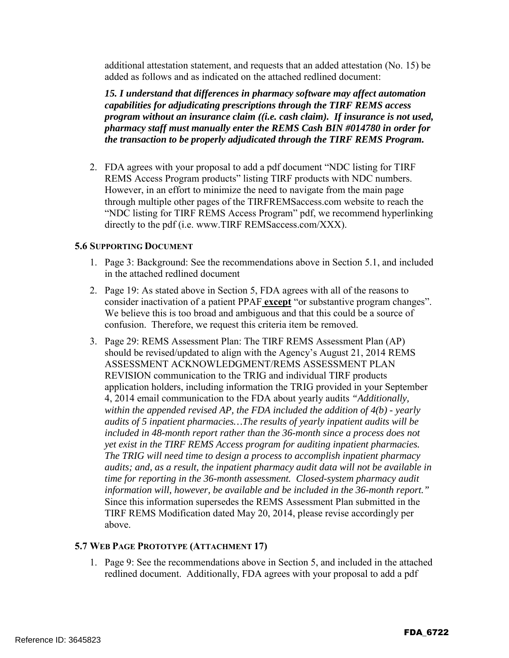additional attestation statement, and requests that an added attestation (No. 15) be added as follows and as indicated on the attached redlined document:

*15. I understand that differences in pharmacy software may affect automation capabilities for adjudicating prescriptions through the TIRF REMS access program without an insurance claim ((i.e. cash claim). If insurance is not used, pharmacy staff must manually enter the REMS Cash BIN #014780 in order for the transaction to be properly adjudicated through the TIRF REMS Program.* 

2. FDA agrees with your proposal to add a pdf document "NDC listing for TIRF REMS Access Program products" listing TIRF products with NDC numbers. However, in an effort to minimize the need to navigate from the main page through multiple other pages of the TIRFREMSaccess.com website to reach the "NDC listing for TIRF REMS Access Program" pdf, we recommend hyperlinking directly to the pdf (i.e. www.TIRF REMSaccess.com/XXX).

#### **5.6 SUPPORTING DOCUMENT**

- 1. Page 3: Background: See the recommendations above in Section 5.1, and included in the attached redlined document
- 2. Page 19: As stated above in Section 5, FDA agrees with all of the reasons to consider inactivation of a patient PPAF **except** "or substantive program changes". We believe this is too broad and ambiguous and that this could be a source of confusion. Therefore, we request this criteria item be removed.
- 3. Page 29: REMS Assessment Plan: The TIRF REMS Assessment Plan (AP) should be revised/updated to align with the Agency's August 21, 2014 REMS ASSESSMENT ACKNOWLEDGMENT/REMS ASSESSMENT PLAN REVISION communication to the TRIG and individual TIRF products application holders, including information the TRIG provided in your September 4, 2014 email communication to the FDA about yearly audits *"Additionally, within the appended revised AP, the FDA included the addition of 4(b) - yearly audits of 5 inpatient pharmacies…The results of yearly inpatient audits will be*  included in 48-month report rather than the 36-month since a process does not *yet exist in the TIRF REMS Access program for auditing inpatient pharmacies. The TRIG will need time to design a process to accomplish inpatient pharmacy audits; and, as a result, the inpatient pharmacy audit data will not be available in time for reporting in the 36-month assessment. Closed-system pharmacy audit information will, however, be available and be included in the 36-month report."* Since this information supersedes the REMS Assessment Plan submitted in the TIRF REMS Modification dated May 20, 2014, please revise accordingly per above.

#### **5.7 WEB PAGE PROTOTYPE (ATTACHMENT 17)**

1. Page 9: See the recommendations above in Section 5, and included in the attached redlined document. Additionally, FDA agrees with your proposal to add a pdf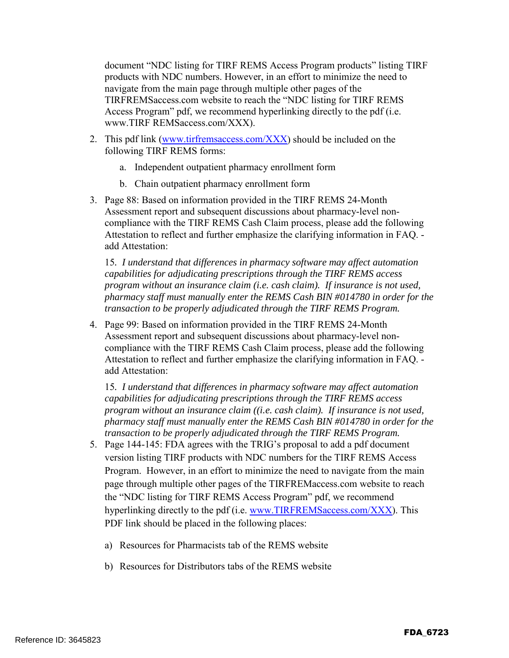document "NDC listing for TIRF REMS Access Program products" listing TIRF products with NDC numbers. However, in an effort to minimize the need to navigate from the main page through multiple other pages of the TIRFREMSaccess.com website to reach the "NDC listing for TIRF REMS Access Program" pdf, we recommend hyperlinking directly to the pdf (i.e. www.TIRF REMSaccess.com/XXX).

- 2. This pdf link (www.tirfremsaccess.com/XXX) should be included on the following TIRF REMS forms:
	- a. Independent outpatient pharmacy enrollment form
	- b. Chain outpatient pharmacy enrollment form
- 3. Page 88: Based on information provided in the TIRF REMS 24-Month Assessment report and subsequent discussions about pharmacy-level noncompliance with the TIRF REMS Cash Claim process, please add the following Attestation to reflect and further emphasize the clarifying information in FAQ. add Attestation:

15*. I understand that differences in pharmacy software may affect automation capabilities for adjudicating prescriptions through the TIRF REMS access program without an insurance claim (i.e. cash claim). If insurance is not used, pharmacy staff must manually enter the REMS Cash BIN #014780 in order for the transaction to be properly adjudicated through the TIRF REMS Program.* 

4. Page 99: Based on information provided in the TIRF REMS 24-Month Assessment report and subsequent discussions about pharmacy-level noncompliance with the TIRF REMS Cash Claim process, please add the following Attestation to reflect and further emphasize the clarifying information in FAQ. add Attestation:

15*. I understand that differences in pharmacy software may affect automation capabilities for adjudicating prescriptions through the TIRF REMS access program without an insurance claim ((i.e. cash claim). If insurance is not used, pharmacy staff must manually enter the REMS Cash BIN #014780 in order for the transaction to be properly adjudicated through the TIRF REMS Program.* 

- 5. Page 144-145: FDA agrees with the TRIG's proposal to add a pdf document version listing TIRF products with NDC numbers for the TIRF REMS Access Program. However, in an effort to minimize the need to navigate from the main page through multiple other pages of the TIRFREMaccess.com website to reach the "NDC listing for TIRF REMS Access Program" pdf, we recommend hyperlinking directly to the pdf (i.e. www.TIRFREMSaccess.com/XXX). This PDF link should be placed in the following places:
	- a) Resources for Pharmacists tab of the REMS website
	- b) Resources for Distributors tabs of the REMS website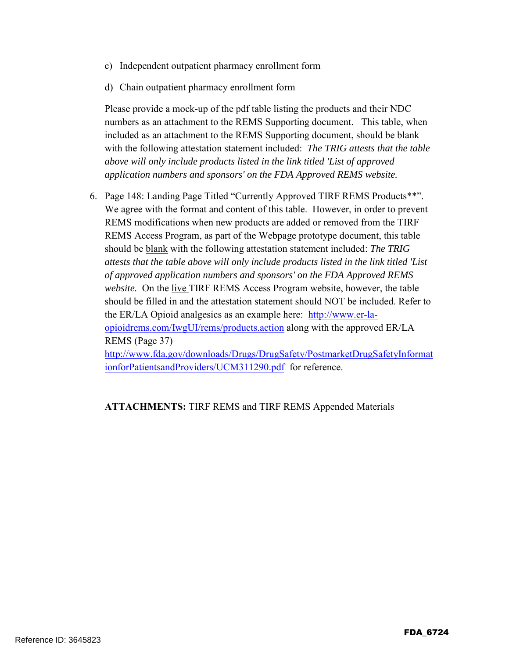- c) Independent outpatient pharmacy enrollment form
- d) Chain outpatient pharmacy enrollment form

Please provide a mock-up of the pdf table listing the products and their NDC numbers as an attachment to the REMS Supporting document. This table, when included as an attachment to the REMS Supporting document, should be blank with the following attestation statement included: *The TRIG attests that the table above will only include products listed in the link titled 'List of approved application numbers and sponsors' on the FDA Approved REMS website.* 

6. Page 148: Landing Page Titled "Currently Approved TIRF REMS Products\*\*". We agree with the format and content of this table. However, in order to prevent REMS modifications when new products are added or removed from the TIRF REMS Access Program, as part of the Webpage prototype document, this table should be blank with the following attestation statement included: *The TRIG attests that the table above will only include products listed in the link titled 'List of approved application numbers and sponsors' on the FDA Approved REMS website.* On the live TIRF REMS Access Program website, however, the table should be filled in and the attestation statement should NOT be included. Refer to the ER/LA Opioid analgesics as an example here: http://www.er-laopioidrems.com/IwgUI/rems/products.action along with the approved ER/LA REMS (Page 37) http://www.fda.gov/downloads/Drugs/DrugSafety/PostmarketDrugSafetyInformat

ionforPatientsandProviders/UCM311290.pdf for reference.

**ATTACHMENTS:** TIRF REMS and TIRF REMS Appended Materials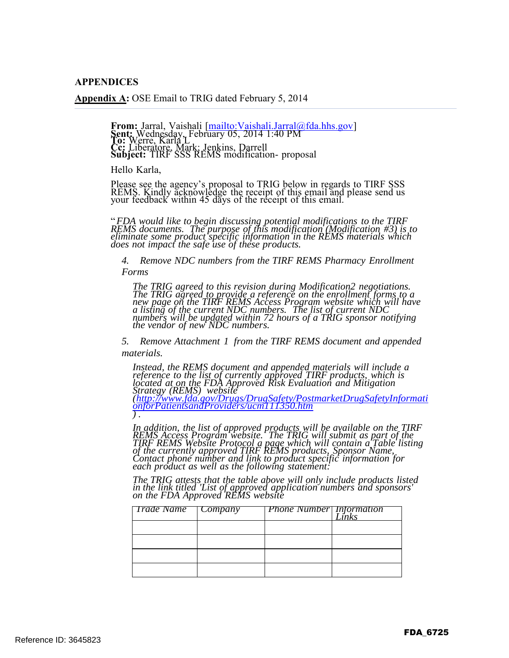**APPENDICES**

**Appendix A:** OSE Email to TRIG dated February 5, 2014

**From:** Jarral, Vaishali [mailto:Vaishali.Jarral@fda.hhs.gov] **Sent:** Wednesday, February 05, 2014 1:40 PM **To:** Werre, Karla L **Cc:** Liberatore, Mark; Jenkins, Darrell **Subject:** TIRF SSS REMS modification- proposal

Hello Karla,

Please see the agency's proposal to TRIG below in regards to TIRF SSS REMS. Kindly acknowledge the receipt of this email and please send us your feedback within 45 days of the receipt of this email.

"*FDA would like to begin discussing potential modifications to the TIRF REMS documents. The purpose of this modification (Modification #3) is to eliminate some product specific information in the REMS materials which does not impact the safe use of these products.*

*4. Remove NDC numbers from the TIRF REMS Pharmacy Enrollment Forms*

*The TRIG agreed to this revision during Modification2 negotiations. The TRIG agreed to provide a reference on the enrollment forms to a new page on the TIRF REMS Access Program website which will have a listing of the current NDC numbers. The list of current NDC numbers will be updated within 72 hours of a TRIG sponsor notifying the vendor of new NDC numbers.*

*5. Remove Attachment 1 from the TIRF REMS document and appended materials.*

*Instead, the REMS document and appended materials will include a reference to the list of currently approved TIRF products, which is located at on the FDA Approved Risk Evaluation and Mitigation Strategy (REMS) website (http://www.fda.gov/Drugs/DrugSafety/PostmarketDrugSafetyInformati onforPatientsandProviders/ucm111350.htm ) .*

*In addition, the list of approved products will be available on the TIRF* REMS Access Program website. The TRIG will submit as part of the<br>TIRF REMS Website Protocol a page which will contain a Table listing<br>of the currently approved TIRF REMS products, Sponsor Name,<br>Contact phone number and lin

*The TRIG attests that the table above will only include products listed in the link titled 'List of approved application numbers and sponsors' on the FDA Approved REMS website*

| <b>Trade Name</b> Company | <b>Phone Number</b> Information | inks |
|---------------------------|---------------------------------|------|
|                           |                                 |      |
|                           |                                 |      |
|                           |                                 |      |
|                           |                                 |      |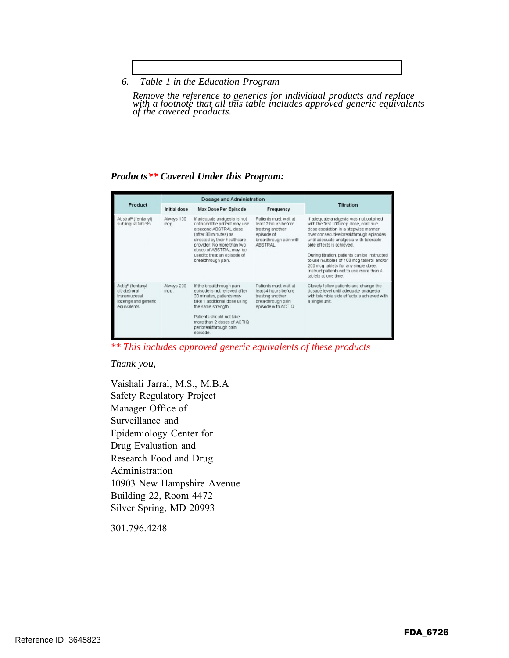*6. Table 1 in the Education Program*

*Remove the reference to generics for individual products and replace with a footnote that all this table includes approved generic equivalents of the covered products.*

#### *Products\*\* Covered Under this Program:*

|                                                                                                     | <b>Dosage and Administration</b> |                                                                                                                                                                                                                                                              |                                                                                                                       |                                                                                                                                                                                                                                                                                                                                                                                                                                                     |
|-----------------------------------------------------------------------------------------------------|----------------------------------|--------------------------------------------------------------------------------------------------------------------------------------------------------------------------------------------------------------------------------------------------------------|-----------------------------------------------------------------------------------------------------------------------|-----------------------------------------------------------------------------------------------------------------------------------------------------------------------------------------------------------------------------------------------------------------------------------------------------------------------------------------------------------------------------------------------------------------------------------------------------|
| Product                                                                                             | Initial dose                     | <b>Max Dose Per Episode</b>                                                                                                                                                                                                                                  | Frequency                                                                                                             | Titration                                                                                                                                                                                                                                                                                                                                                                                                                                           |
| Abstral <sup>®</sup> (fentanyl)<br>sublingual tablets                                               | Always 100<br>mcg.               | If adequate analgesia is not<br>obtained the patient may use<br>a second ABSTRAL dose<br>(after 30 minutes) as<br>directed by their healthcare<br>provider. No more than two<br>doses of ABSTRAL may be<br>used to treat an episode of<br>breakthrough pain. | Patients must wait at<br>least 2 hours before.<br>treating another<br>episode of<br>breakthrough pain with<br>ARSTRAL | If adequate analgesia was not obtained<br>with the first 100 mcg dose, continue<br>dose escalation in a stepwise manner<br>over consecutive breakthrough episodes<br>until adequate analgesia with tolerable<br>side effects is achieved.<br>During titration, patients can be instructed<br>to use multiples of 100 mcg tablets and/or<br>200 mcg tablets for any single dose.<br>Instruct patients not to use more than 4<br>tablets at one time. |
| Actig <sup>®</sup> (fentanyl<br>citrate) oral<br>transmucosal<br>lozenge and generic<br>equivalents | Always 200<br>mcg.               | If the breakthrough pain<br>episode is not relieved after<br>30 minutes, patients may<br>take 1 additional dose using<br>the same strength.<br>Patients should not take<br>more than 2 doses of ACTIO<br>per breakthrough pain<br>episode.                   | Patients must wait at<br>least 4 hours before<br>treating another<br>breakthrough pain<br>episode with ACTIQ.         | Closely follow patients and change the<br>dosage level until adequate analgesia<br>with tolerable side effects is achieved with<br>a single unit.                                                                                                                                                                                                                                                                                                   |

*\*\* This includes approved generic equivalents of these products*

#### *Thank you,*

Vaishali Jarral, M.S., M.B.A Safety Regulatory Project Manager Office of Surveillance and Epidemiology Center for Drug Evaluation and Research Food and Drug Administration 10903 New Hampshire Avenue Building 22, Room 4472 Silver Spring, MD 20993

301.796.4248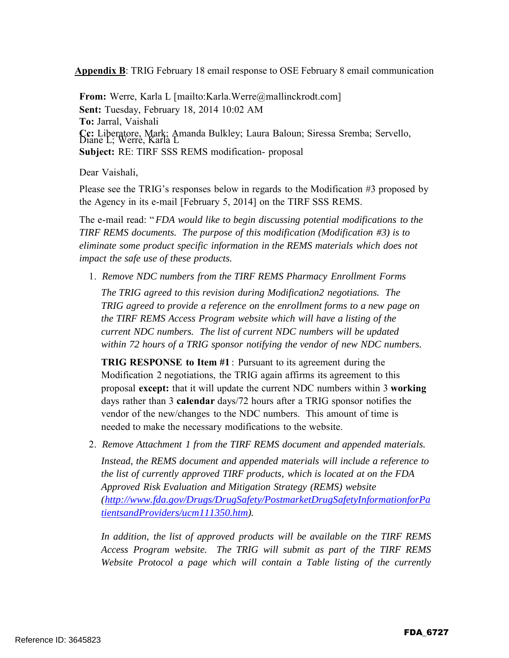**Appendix B**: TRIG February 18 email response to OSE February 8 email communication

**From:** Werre, Karla L [mailto:Karla.Werre@mallinckrodt.com] **Sent:** Tuesday, February 18, 2014 10:02 AM **To:** Jarral, Vaishali **Cc:** Liberatore, Mark; Amanda Bulkley; Laura Baloun; Siressa Sremba; Servello, Diane L; Werre, Karla L **Subject:** RE: TIRF SSS REMS modification- proposal

Dear Vaishali,

Please see the TRIG's responses below in regards to the Modification #3 proposed by the Agency in its e-mail [February 5, 2014] on the TIRF SSS REMS.

The e-mail read: "*FDA would like to begin discussing potential modifications to the TIRF REMS documents. The purpose of this modification (Modification #3) is to eliminate some product specific information in the REMS materials which does not impact the safe use of these products.*

1. *Remove NDC numbers from the TIRF REMS Pharmacy Enrollment Forms The TRIG agreed to this revision during Modification2 negotiations. The TRIG agreed to provide a reference on the enrollment forms to a new page on the TIRF REMS Access Program website which will have a listing of the current NDC numbers. The list of current NDC numbers will be updated within 72 hours of a TRIG sponsor notifying the vendor of new NDC numbers.*

**TRIG RESPONSE to Item #1** : Pursuant to its agreement during the Modification 2 negotiations, the TRIG again affirms its agreement to this proposal **except:** that it will update the current NDC numbers within 3 **working** days rather than 3 **calendar** days/72 hours after a TRIG sponsor notifies the vendor of the new/changes to the NDC numbers. This amount of time is needed to make the necessary modifications to the website.

2. *Remove Attachment 1 from the TIRF REMS document and appended materials. Instead, the REMS document and appended materials will include a reference to the list of currently approved TIRF products, which is located at on the FDA Approved Risk Evaluation and Mitigation Strategy (REMS) website (http://www.fda.gov/Drugs/DrugSafety/PostmarketDrugSafetyInformationforPa tientsandProviders/ucm111350.htm).*

*In addition, the list of approved products will be available on the TIRF REMS Access Program website. The TRIG will submit as part of the TIRF REMS Website Protocol a page which will contain a Table listing of the currently*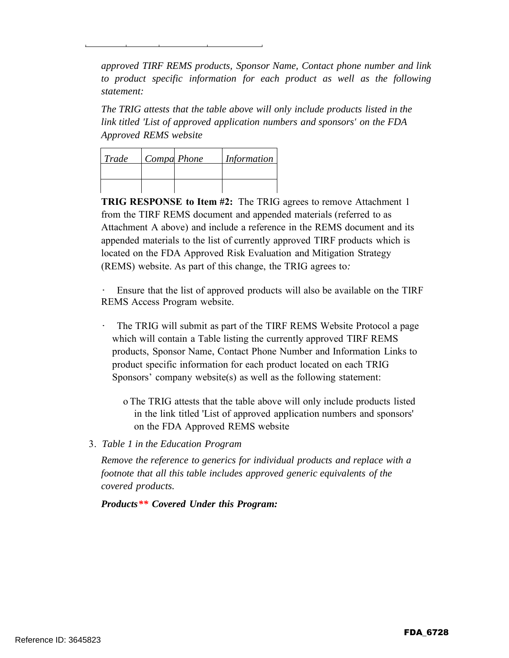*approved TIRF REMS products, Sponsor Name, Contact phone number and link to product specific information for each product as well as the following statement:*

*The TRIG attests that the table above will only include products listed in the link titled 'List of approved application numbers and sponsors' on the FDA Approved REMS website*

| Trade | Compa Phone | Information |
|-------|-------------|-------------|
|       |             |             |
|       |             |             |

**TRIG RESPONSE to Item #2:** The TRIG agrees to remove Attachment 1 from the TIRF REMS document and appended materials (referred to as Attachment A above) and include a reference in the REMS document and its appended materials to the list of currently approved TIRF products which is located on the FDA Approved Risk Evaluation and Mitigation Strategy (REMS) website. As part of this change, the TRIG agrees to*:*

Ensure that the list of approved products will also be available on the TIRF REMS Access Program website.

- The TRIG will submit as part of the TIRF REMS Website Protocol a page which will contain a Table listing the currently approved TIRF REMS products, Sponsor Name, Contact Phone Number and Information Links to product specific information for each product located on each TRIG Sponsors' company website(s) as well as the following statement:
	- o The TRIG attests that the table above will only include products listed in the link titled 'List of approved application numbers and sponsors' on the FDA Approved REMS website
- 3. *Table 1 in the Education Program*

*Remove the reference to generics for individual products and replace with a footnote that all this table includes approved generic equivalents of the covered products.*

*Products\*\* Covered Under this Program:*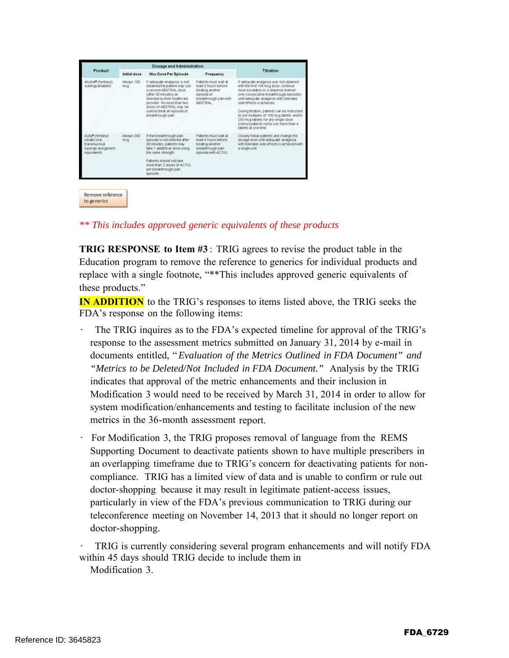|                                                                                         | Dosage and Administration |                                                                                                                                                                                                                                                              |                                                                                                                             |                                                                                                                                                                                                                                                                                                                                                                                                                                                     |
|-----------------------------------------------------------------------------------------|---------------------------|--------------------------------------------------------------------------------------------------------------------------------------------------------------------------------------------------------------------------------------------------------------|-----------------------------------------------------------------------------------------------------------------------------|-----------------------------------------------------------------------------------------------------------------------------------------------------------------------------------------------------------------------------------------------------------------------------------------------------------------------------------------------------------------------------------------------------------------------------------------------------|
| Product                                                                                 | Initial dose              | Max Dose Per Episode                                                                                                                                                                                                                                         | Frequency                                                                                                                   | Titration                                                                                                                                                                                                                                                                                                                                                                                                                                           |
| Abstra® (fentanyl)<br>sublingual tablets                                                | Always 100<br>mcg.        | If adequate analgesia is not<br>obtained the patient may use<br>a second ABSTRAL dose<br>(after 30 minutes) as<br>directed by their healthcare<br>provider. No more than two<br>doses of ABSTRAL may be<br>used to treat an episode of<br>breakthrough pain. | Patients must wait at<br>least 2 hours before<br>treating another<br>episode of<br>breakthrough pain with<br><b>ABSTRAL</b> | If adequate analgesia was not obtained<br>with the first 100 mcg dose, continue<br>dose escalation in a stepwise manner.<br>over consecutive breakthrough episodes<br>until adequate analgesia with tolerable<br>side effects is achieved.<br>During titration, patients can be instructed<br>to use multiples of 100 mcg tablets and/or<br>200 mcg tablets for any single dose.<br>Instruct patients not to use more than 4<br>tablets at one time |
| Actig® (fentany)<br>citrate) oral<br>transmucosal<br>lozenge and generic<br>equivalents | Always 200<br>mcg.        | If the breakthrough pain.<br>episode is not relieved after<br>30 minutes, patients may<br>take 1 additional dose using<br>the same strength.<br>Patients should not take<br>more than 2 doses of ACTIO<br>per breakthrough pain<br>episode.                  | Patients must wait at<br>least 4 hours before<br>treating another<br>breakthrough pain<br>episode with ACTIQ.               | Closely follow patients and change the<br>dosage level until adequate analgesia.<br>with tolerable side effects is achieved with<br>a single unit.                                                                                                                                                                                                                                                                                                  |

#### *\*\* This includes approved generic equivalents of these products*

**TRIG RESPONSE to Item #3** : TRIG agrees to revise the product table in the Education program to remove the reference to generics for individual products and replace with a single footnote, "\*\*This includes approved generic equivalents of these products."

**IN ADDITION** to the TRIG's responses to items listed above, the TRIG seeks the FDA's response on the following items:

- The TRIG inquires as to the FDA's expected timeline for approval of the TRIG's response to the assessment metrics submitted on January 31, 2014 by e-mail in documents entitled, "*Evaluation of the Metrics Outlined in FDA Document" and "Metrics to be Deleted/Not Included in FDA Document."* Analysis by the TRIG indicates that approval of the metric enhancements and their inclusion in Modification 3 would need to be received by March 31, 2014 in order to allow for system modification/enhancements and testing to facilitate inclusion of the new metrics in the 36-month assessment report.
- For Modification 3, the TRIG proposes removal of language from the REMS Supporting Document to deactivate patients shown to have multiple prescribers in an overlapping timeframe due to TRIG's concern for deactivating patients for noncompliance. TRIG has a limited view of data and is unable to confirm or rule out doctor-shopping because it may result in legitimate patient-access issues, particularly in view of the FDA's previous communication to TRIG during our teleconference meeting on November 14, 2013 that it should no longer report on doctor-shopping.

· TRIG is currently considering several program enhancements and will notify FDA within 45 days should TRIG decide to include them in Modification 3.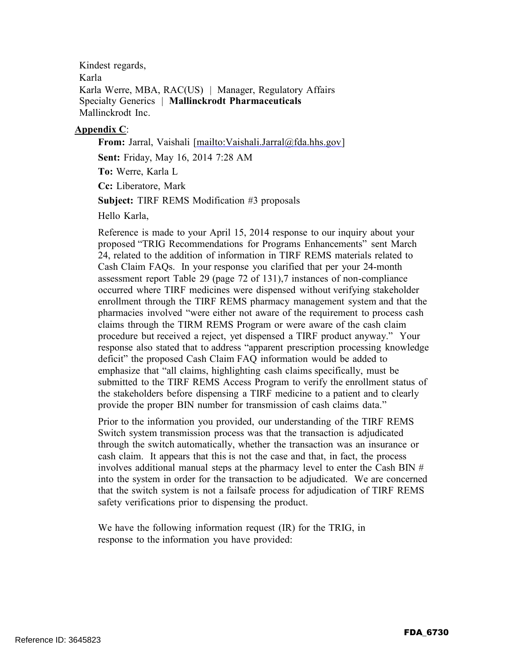Kindest regards, Karla Karla Werre, MBA, RAC(US) | Manager, Regulatory Affairs Specialty Generics | **Mallinckrodt Pharmaceuticals** Mallinckrodt Inc.

#### **Appendix C**:

**From:** Jarral, Vaishali [mailto:Vaishali.Jarral@fda.hhs.gov]

**Sent:** Friday, May 16, 2014 7:28 AM

**To:** Werre, Karla L

**Cc:** Liberatore, Mark

**Subject:** TIRF REMS Modification #3 proposals

Hello Karla,

Reference is made to your April 15, 2014 response to our inquiry about your proposed "TRIG Recommendations for Programs Enhancements" sent March 24, related to the addition of information in TIRF REMS materials related to Cash Claim FAQs. In your response you clarified that per your 24-month assessment report Table 29 (page 72 of 131),7 instances of non-compliance occurred where TIRF medicines were dispensed without verifying stakeholder enrollment through the TIRF REMS pharmacy management system and that the pharmacies involved "were either not aware of the requirement to process cash claims through the TIRM REMS Program or were aware of the cash claim procedure but received a reject, yet dispensed a TIRF product anyway." Your response also stated that to address "apparent prescription processing knowledge deficit" the proposed Cash Claim FAQ information would be added to emphasize that "all claims, highlighting cash claims specifically, must be submitted to the TIRF REMS Access Program to verify the enrollment status of the stakeholders before dispensing a TIRF medicine to a patient and to clearly provide the proper BIN number for transmission of cash claims data."

Prior to the information you provided, our understanding of the TIRF REMS Switch system transmission process was that the transaction is adjudicated through the switch automatically, whether the transaction was an insurance or cash claim. It appears that this is not the case and that, in fact, the process involves additional manual steps at the pharmacy level to enter the Cash BIN # into the system in order for the transaction to be adjudicated. We are concerned that the switch system is not a failsafe process for adjudication of TIRF REMS safety verifications prior to dispensing the product.

We have the following information request (IR) for the TRIG, in response to the information you have provided: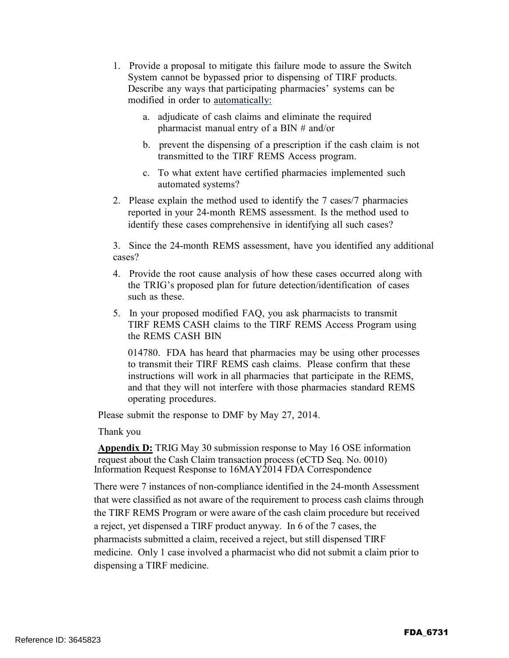- 1. Provide a proposal to mitigate this failure mode to assure the Switch System cannot be bypassed prior to dispensing of TIRF products. Describe any ways that participating pharmacies' systems can be modified in order to automatically:
	- a. adjudicate of cash claims and eliminate the required pharmacist manual entry of a BIN # and/or
	- b. prevent the dispensing of a prescription if the cash claim is not transmitted to the TIRF REMS Access program.
	- c. To what extent have certified pharmacies implemented such automated systems?
- 2. Please explain the method used to identify the 7 cases/7 pharmacies reported in your 24-month REMS assessment. Is the method used to identify these cases comprehensive in identifying all such cases?

3. Since the 24-month REMS assessment, have you identified any additional cases?

- 4. Provide the root cause analysis of how these cases occurred along with the TRIG's proposed plan for future detection/identification of cases such as these
- 5. In your proposed modified FAQ, you ask pharmacists to transmit TIRF REMS CASH claims to the TIRF REMS Access Program using the REMS CASH BIN

014780. FDA has heard that pharmacies may be using other processes to transmit their TIRF REMS cash claims. Please confirm that these instructions will work in all pharmacies that participate in the REMS, and that they will not interfere with those pharmacies standard REMS operating procedures.

Please submit the response to DMF by May 27, 2014.

Thank you

**Appendix D:** TRIG May 30 submission response to May 16 OSE information request about the Cash Claim transaction process (eCTD Seq. No. 0010) Information Request Response to 16MAY2014 FDA Correspondence

There were 7 instances of non-compliance identified in the 24-month Assessment that were classified as not aware of the requirement to process cash claims through the TIRF REMS Program or were aware of the cash claim procedure but received a reject, yet dispensed a TIRF product anyway. In 6 of the 7 cases, the pharmacists submitted a claim, received a reject, but still dispensed TIRF medicine. Only 1 case involved a pharmacist who did not submit a claim prior to dispensing a TIRF medicine.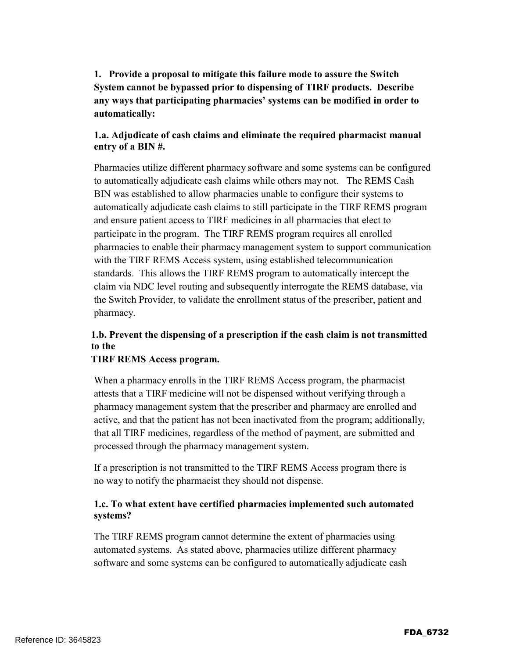**1. Provide a proposal to mitigate this failure mode to assure the Switch System cannot be bypassed prior to dispensing of TIRF products. Describe any ways that participating pharmacies' systems can be modified in order to automatically:**

#### **1.a. Adjudicate of cash claims and eliminate the required pharmacist manual entry of a BIN #.**

Pharmacies utilize different pharmacy software and some systems can be configured to automatically adjudicate cash claims while others may not. The REMS Cash BIN was established to allow pharmacies unable to configure their systems to automatically adjudicate cash claims to still participate in the TIRF REMS program and ensure patient access to TIRF medicines in all pharmacies that elect to participate in the program. The TIRF REMS program requires all enrolled pharmacies to enable their pharmacy management system to support communication with the TIRF REMS Access system, using established telecommunication standards. This allows the TIRF REMS program to automatically intercept the claim via NDC level routing and subsequently interrogate the REMS database, via the Switch Provider, to validate the enrollment status of the prescriber, patient and pharmacy.

### **1.b. Prevent the dispensing of a prescription if the cash claim is not transmitted to the**

#### **TIRF REMS Access program.**

When a pharmacy enrolls in the TIRF REMS Access program, the pharmacist attests that a TIRF medicine will not be dispensed without verifying through a pharmacy management system that the prescriber and pharmacy are enrolled and active, and that the patient has not been inactivated from the program; additionally, that all TIRF medicines, regardless of the method of payment, are submitted and processed through the pharmacy management system.

If a prescription is not transmitted to the TIRF REMS Access program there is no way to notify the pharmacist they should not dispense.

#### **1.c. To what extent have certified pharmacies implemented such automated systems?**

The TIRF REMS program cannot determine the extent of pharmacies using automated systems. As stated above, pharmacies utilize different pharmacy software and some systems can be configured to automatically adjudicate cash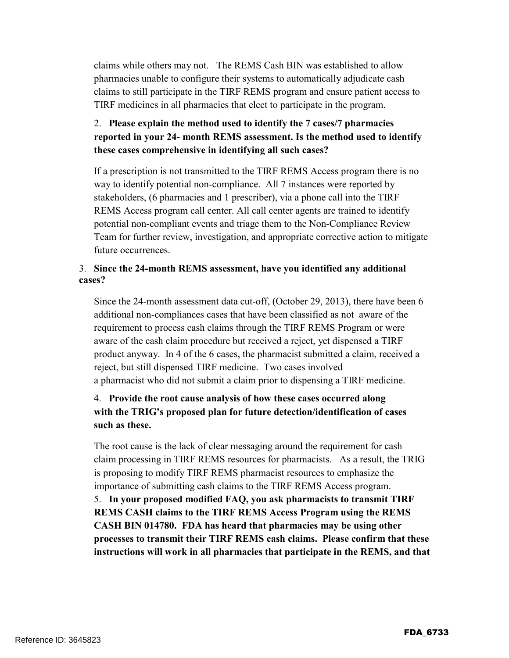claims while others may not. The REMS Cash BIN was established to allow pharmacies unable to configure their systems to automatically adjudicate cash claims to still participate in the TIRF REMS program and ensure patient access to TIRF medicines in all pharmacies that elect to participate in the program.

## 2. **Please explain the method used to identify the 7 cases/7 pharmacies reported in your 24- month REMS assessment. Is the method used to identify these cases comprehensive in identifying all such cases?**

If a prescription is not transmitted to the TIRF REMS Access program there is no way to identify potential non-compliance. All 7 instances were reported by stakeholders, (6 pharmacies and 1 prescriber), via a phone call into the TIRF REMS Access program call center. All call center agents are trained to identify potential non-compliant events and triage them to the Non-Compliance Review Team for further review, investigation, and appropriate corrective action to mitigate future occurrences.

#### 3. **Since the 24-month REMS assessment, have you identified any additional cases?**

Since the 24-month assessment data cut-off, (October 29, 2013), there have been 6 additional non-compliances cases that have been classified as not aware of the requirement to process cash claims through the TIRF REMS Program or were aware of the cash claim procedure but received a reject, yet dispensed a TIRF product anyway. In 4 of the 6 cases, the pharmacist submitted a claim, received a reject, but still dispensed TIRF medicine. Two cases involved a pharmacist who did not submit a claim prior to dispensing a TIRF medicine.

## 4. **Provide the root cause analysis of how these cases occurred along with the TRIG's proposed plan for future detection/identification of cases such as these.**

The root cause is the lack of clear messaging around the requirement for cash claim processing in TIRF REMS resources for pharmacists. As a result, the TRIG is proposing to modify TIRF REMS pharmacist resources to emphasize the importance of submitting cash claims to the TIRF REMS Access program. 5. **In your proposed modified FAQ, you ask pharmacists to transmit TIRF REMS CASH claims to the TIRF REMS Access Program using the REMS CASH BIN 014780. FDA has heard that pharmacies may be using other processes to transmit their TIRF REMS cash claims. Please confirm that these instructions will work in all pharmacies that participate in the REMS, and that**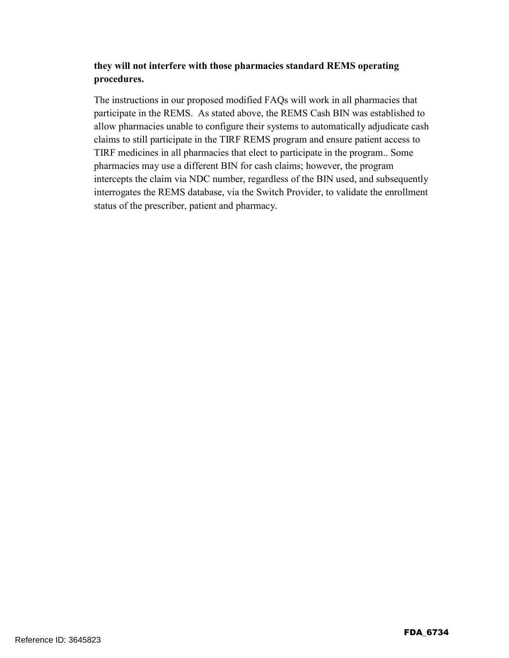#### **they will not interfere with those pharmacies standard REMS operating procedures.**

The instructions in our proposed modified FAQs will work in all pharmacies that participate in the REMS. As stated above, the REMS Cash BIN was established to allow pharmacies unable to configure their systems to automatically adjudicate cash claims to still participate in the TIRF REMS program and ensure patient access to TIRF medicines in all pharmacies that elect to participate in the program.. Some pharmacies may use a different BIN for cash claims; however, the program intercepts the claim via NDC number, regardless of the BIN used, and subsequently interrogates the REMS database, via the Switch Provider, to validate the enrollment status of the prescriber, patient and pharmacy.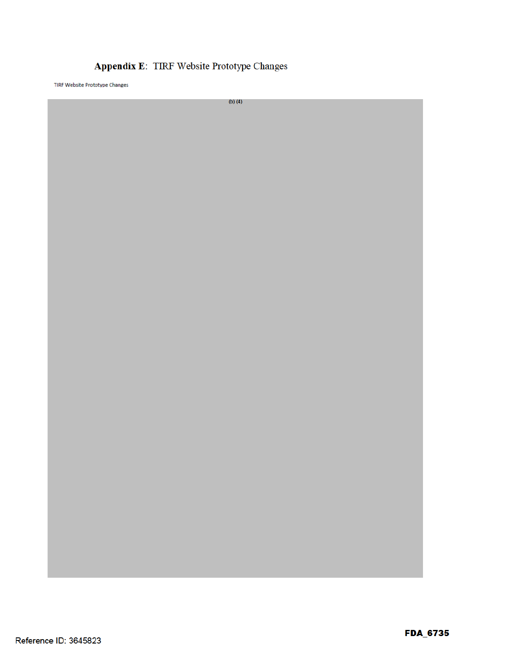## Appendix E: TIRF Website Prototype Changes

TIRF Website Prototype Changes

 $(b)$  $(4)$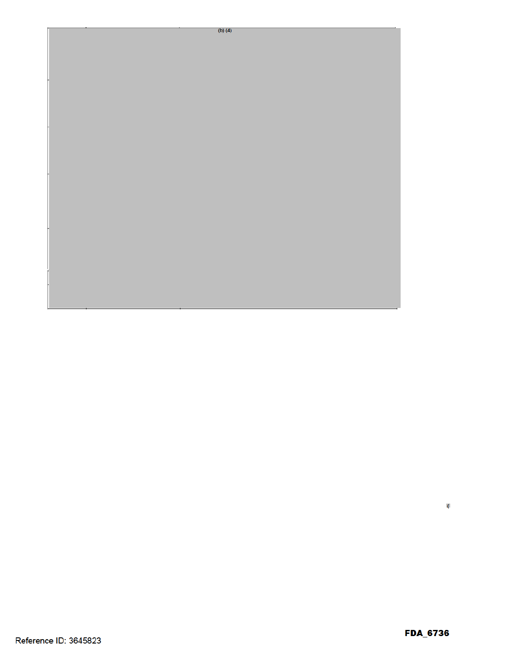

 $\overline{(\ }$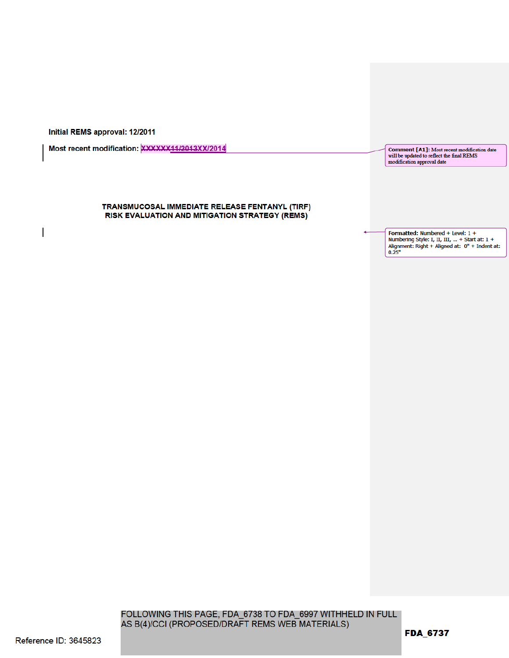Initial REMS approval: 12/2011

Most recent modification: XXXXXX11/2013XX/2014

#### TRANSMUCOSAL IMMEDIATE RELEASE FENTANYL (TIRF) RISK EVALUATION AND MITIGATION STRATEGY (REMS)

Comment [A1]: Most recent modification date will be updated to reflect the final REMS modification approval date

Formatted: Numbered + Level: 1 + Numbering Style: I, II, III, ... + Start at: 1 + Alignment: Right + Aligned at: 0" + Indent at:  $0.25"$ 

FOLLOWING THIS PAGE, FDA\_6738 TO FDA\_6997 WITHHELD IN FULL AS B(4)/CCI (PROPOSED/DRAFT REMS WEB MATERIALS)